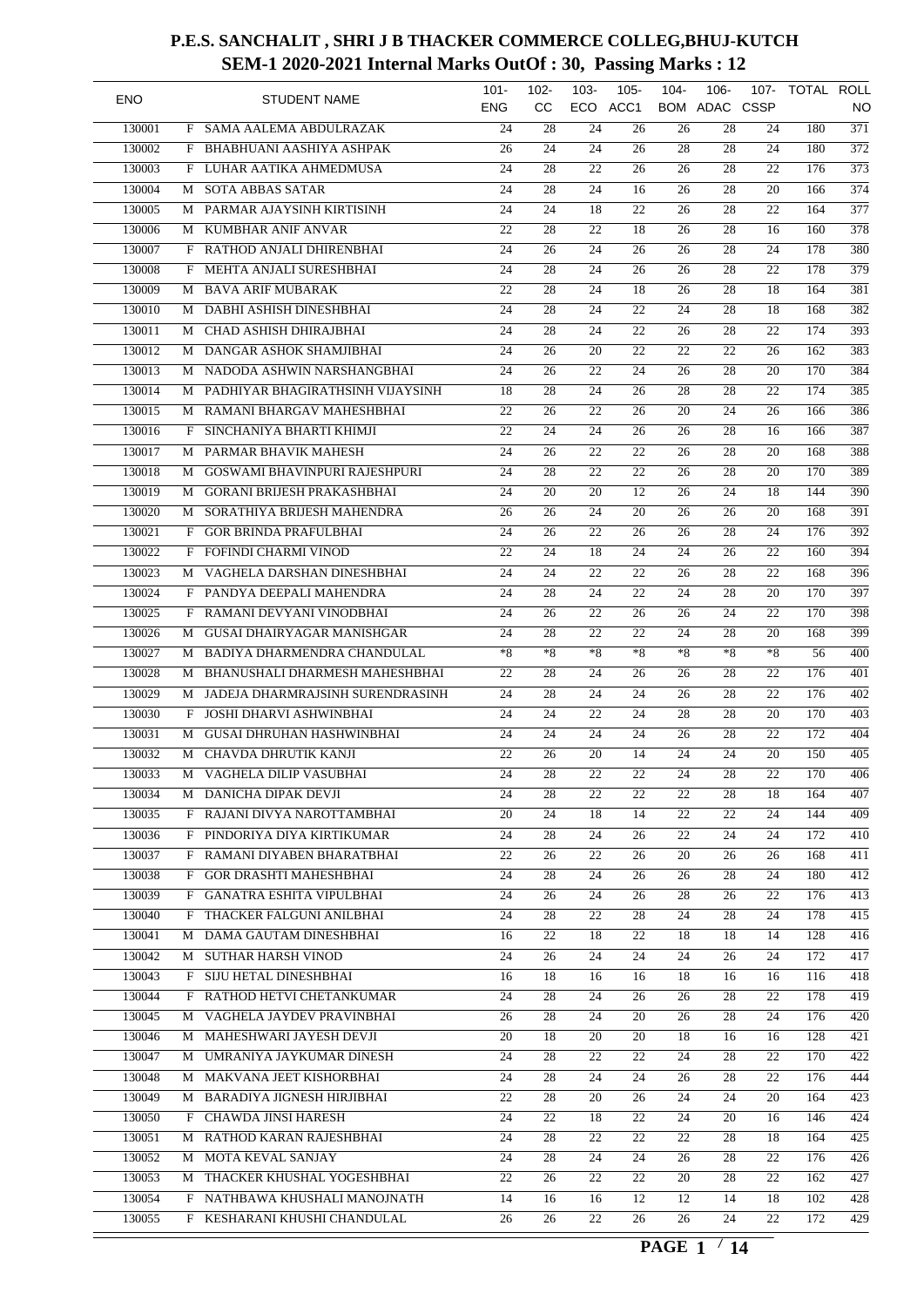| <b>ENO</b>       |        | <b>STUDENT NAME</b>                  | $101 -$<br><b>ENG</b> | $102 -$<br><b>CC</b> | $103 -$<br>ECO  | $105 -$<br>ACC1 | $104 -$               | $106 -$<br>BOM ADAC CSSP | 107-            | TOTAL ROLL | NO               |
|------------------|--------|--------------------------------------|-----------------------|----------------------|-----------------|-----------------|-----------------------|--------------------------|-----------------|------------|------------------|
|                  |        | SAMA AALEMA ABDULRAZAK               | 24                    | 28                   | 24              | 26              |                       | 28                       | 24              | 180        | $\overline{371}$ |
| 130001<br>130002 | F<br>F | BHABHUANI AASHIYA ASHPAK             | 26                    | 24                   | 24              | $\overline{26}$ | 26<br>$\overline{28}$ | 28                       | 24              | 180        | $\overline{372}$ |
| 130003           | F      | LUHAR AATIKA AHMEDMUSA               | 24                    | 28                   | 22              |                 | 26                    | 28                       | 22              | 176        | $\overline{373}$ |
| 130004           | М      | <b>SOTA ABBAS SATAR</b>              | 24                    | 28                   | 24              | 26<br>16        | 26                    | 28                       | 20              | 166        | 374              |
|                  |        |                                      | 24                    |                      |                 | $\overline{22}$ |                       | 28                       | 22              | 164        | $\overline{377}$ |
| 130005           | М      | PARMAR AJAYSINH KIRTISINH            |                       | 24                   | 18              |                 | 26                    |                          |                 |            |                  |
| 130006           | М      | KUMBHAR ANIF ANVAR                   | 22                    | 28                   | 22              | 18              | 26                    | 28                       | 16              | 160        | $\overline{378}$ |
| 130007           | F      | RATHOD ANJALI DHIRENBHAI             | 24                    | 26                   | 24              | 26              | 26                    | 28                       | 24              | 178        | 380              |
| 130008           | F      | <b>MEHTA ANJALI SURESHBHAI</b>       | $\overline{24}$       | $\overline{28}$      | $\overline{24}$ | 26              | 26                    | 28                       | 22              | 178        | $\overline{379}$ |
| 130009           | М      | <b>BAVA ARIF MUBARAK</b>             | $\overline{22}$       | $\overline{28}$      | 24              | 18              | 26                    | $\overline{28}$          | 18              | 164        | 381              |
| 130010           | М      | DABHI ASHISH DINESHBHAI              | 24                    | 28                   | 24              | 22              | 24                    | 28                       | 18              | 168        | 382              |
| 130011           | М      | CHAD ASHISH DHIRAJBHAI               | 24                    | 28                   | 24              | $\overline{22}$ | 26                    | 28                       | 22              | 174        | $\overline{393}$ |
| 130012           | M      | DANGAR ASHOK SHAMJIBHAI              | 24                    | 26                   | 20              | 22              | 22                    | 22                       | 26              | 162        | 383              |
| 130013           |        | M NADODA ASHWIN NARSHANGBHAI         | 24                    | 26                   | 22              | 24              | 26                    | 28                       | 20              | 170        | 384              |
| 130014           | М      | PADHIYAR BHAGIRATHSINH VIJAYSINH     | $\overline{18}$       | 28                   | 24              | 26              | $\overline{28}$       | 28                       | 22              | 174        | 385              |
| 130015           | М      | RAMANI BHARGAV MAHESHBHAI            | $\overline{22}$       | 26                   | 22              | 26              | 20                    | 24                       | 26              | 166        | 386              |
| 130016           | F      | SINCHANIYA BHARTI KHIMJI             | 22                    | 24                   | 24              | 26              | 26                    | 28                       | 16              | 166        | 387              |
| 130017           | М      | PARMAR BHAVIK MAHESH                 | 24                    | 26                   | 22              | $\overline{22}$ | 26                    | 28                       | 20              | 168        | 388              |
| 130018           | М      | <b>GOSWAMI BHAVINPURI RAJESHPURI</b> | 24                    | 28                   | 22              | 22              | 26                    | 28                       | $\overline{20}$ | 170        | 389              |
| 130019           | М      | <b>GORANI BRIJESH PRAKASHBHAI</b>    | 24                    | 20                   | 20              | 12              | 26                    | 24                       | 18              | 144        | 390              |
| 130020           | М      | SORATHIYA BRIJESH MAHENDRA           | $\overline{26}$       | 26                   | $\overline{24}$ | $\overline{20}$ | 26                    | 26                       | 20              | 168        | 391              |
| 130021           | F      | <b>GOR BRINDA PRAFULBHAI</b>         | 24                    | 26                   | 22              | 26              | 26                    | 28                       | 24              | 176        | $\overline{392}$ |
| 130022           | F      | FOFINDI CHARMI VINOD                 | 22                    | 24                   | 18              | 24              | 24                    | 26                       | 22              | 160        | 394              |
| 130023           | М      | VAGHELA DARSHAN DINESHBHAI           | 24                    | 24                   | 22              | $\overline{22}$ | 26                    | 28                       | 22              | 168        | 396              |
| 130024           | F      | PANDYA DEEPALI MAHENDRA              | 24                    | 28                   | 24              | 22              | 24                    | 28                       | 20              | 170        | 397              |
| 130025           | F      | RAMANI DEVYANI VINODBHAI             | 24                    | 26                   | 22              | 26              | 26                    | 24                       | 22              | 170        | 398              |
| 130026           | М      | <b>GUSAI DHAIRYAGAR MANISHGAR</b>    | 24                    | $\overline{28}$      | 22              | $\overline{22}$ | 24                    | 28                       | 20              | 168        | 399              |
| 130027           | М      | BADIYA DHARMENDRA CHANDULAL          | $*8$                  | $*8$                 | *8              | $*8$            | $*8$                  | $*8$                     | $*8$            | 56         | $\overline{400}$ |
| 130028           | М      | BHANUSHALI DHARMESH MAHESHBHAI       | 22                    | 28                   | 24              | 26              | 26                    | 28                       | 22              | 176        | 401              |
| 130029           | М      | JADEJA DHARMRAJSINH SURENDRASINH     | 24                    | 28                   | 24              | $\overline{24}$ | 26                    | 28                       | 22              | 176        | $\overline{402}$ |
| 130030           | F      | JOSHI DHARVI ASHWINBHAI              | 24                    | 24                   | 22              | 24              | 28                    | 28                       | 20              | 170        | $\overline{403}$ |
| 130031           | М      | <b>GUSAI DHRUHAN HASHWINBHAI</b>     | 24                    | 24                   | 24              | 24              | 26                    | 28                       | 22              | 172        | 404              |
| 130032           | М      | CHAVDA DHRUTIK KANJI                 | $\overline{22}$       | 26                   | 20              | 14              | 24                    | 24                       | 20              | 150        | $\overline{405}$ |
| 130033           | М      | VAGHELA DILIP VASUBHAI               | $\overline{24}$       | $\overline{28}$      | $\overline{22}$ | $\overline{22}$ | $\overline{24}$       | $\overline{28}$          | $\overline{22}$ | 170        | 406              |
| 130034           |        | M DANICHA DIPAK DEVJI                | 24                    | 28                   | 22              | 22              | 22                    | 28                       | 18              | 164        | 407              |
| 130035           |        | F RAJANI DIVYA NAROTTAMBHAI          | 20                    | 24                   | 18              | 14              | 22                    | 22                       | 24              | 144        | 409              |
| 130036           |        | F PINDORIYA DIYA KIRTIKUMAR          | 24                    | 28                   | 24              | 26              | 22                    | 24                       | 24              | 172        | 410              |
| 130037           |        | F RAMANI DIYABEN BHARATBHAI          | 22                    | 26                   | 22              | 26              | 20                    | 26                       | 26              | 168        | 411              |
| 130038           |        | F GOR DRASHTI MAHESHBHAI             | $\overline{24}$       | 28                   | 24              | 26              | 26                    | 28                       | $\overline{24}$ | 180        | $\overline{412}$ |
| 130039           | F      | <b>GANATRA ESHITA VIPULBHAI</b>      | 24                    | 26                   | 24              | 26              | 28                    | 26                       | 22              | 176        | $\overline{413}$ |
| 130040           |        | F THACKER FALGUNI ANILBHAI           | 24                    | 28                   | $22\,$          | 28              | 24                    | 28                       | 24              | 178        | 415              |
| 130041           | М      | DAMA GAUTAM DINESHBHAI               | 16                    | 22                   | 18              | 22              | 18                    | 18                       | 14              | 128        | 416              |
| 130042           |        | M SUTHAR HARSH VINOD                 | 24                    | 26                   | 24              | 24              | 24                    | 26                       | 24              | 172        | 417              |
| 130043           |        | F SIJU HETAL DINESHBHAI              | 16                    | 18                   | 16              | 16              | 18                    | 16                       | 16              | 116        | 418              |
| 130044           |        | F RATHOD HETVI CHETANKUMAR           | 24                    | 28                   | 24              | 26              | 26                    | 28                       | 22              | 178        | 419              |
| 130045           |        | VAGHELA JAYDEV PRAVINBHAI            | 26                    | 28                   |                 |                 | 26                    | 28                       | 24              | 176        | $\overline{420}$ |
|                  | M      |                                      |                       |                      | 24              | 20              |                       |                          |                 |            |                  |
| 130046           |        | M MAHESHWARI JAYESH DEVJI            | 20                    | 18                   | 20              | 20              | 18                    | 16                       | 16              | 128        | 421              |
| 130047           |        | M UMRANIYA JAYKUMAR DINESH           | 24                    | 28                   | 22              | 22              | 24                    | 28                       | 22              | 170        | 422              |
| 130048           |        | M MAKVANA JEET KISHORBHAI            | 24                    | 28                   | 24              | 24              | 26                    | 28                       | 22              | 176        | 444              |
| 130049           |        | M BARADIYA JIGNESH HIRJIBHAI         | 22                    | 28                   | 20              | 26              | 24                    | 24                       | 20              | 164        | 423              |
| 130050           | F      | <b>CHAWDA JINSI HARESH</b>           | 24                    | 22                   | 18              | 22              | 24                    | 20                       | 16              | 146        | 424              |
| 130051           | М      | RATHOD KARAN RAJESHBHAI              | 24                    | 28                   | 22              | 22              | 22                    | 28                       | 18              | 164        | $\overline{425}$ |
| 130052           |        | M MOTA KEVAL SANJAY                  | 24                    | 28                   | 24              | 24              | 26                    | 28                       | $\overline{22}$ | 176        | 426              |
| 130053           | M      | THACKER KHUSHAL YOGESHBHAI           | 22                    | 26                   | 22              | 22              | 20                    | 28                       | 22              | 162        | 427              |
| 130054           | F      | NATHBAWA KHUSHALI MANOJNATH          | 14                    | 16                   | 16              | 12              | 12                    | 14                       | 18              | 102        | 428              |
| 130055           |        | F KESHARANI KHUSHI CHANDULAL         | 26                    | 26                   | $\overline{22}$ | 26              | 26                    | 24                       | 22              | 172        | 429              |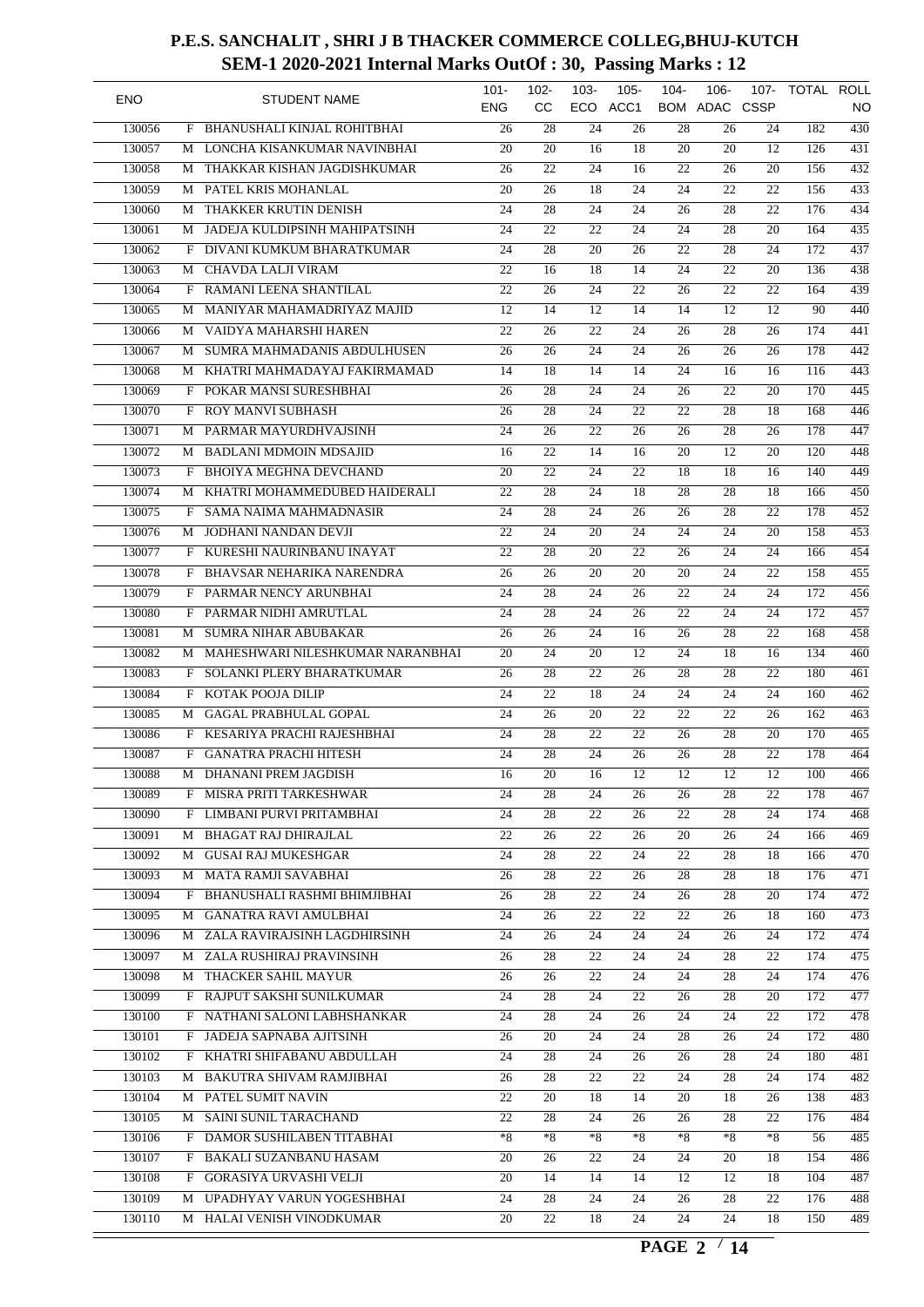| <b>ENO</b> |   | <b>STUDENT NAME</b>                | $101 -$<br><b>ENG</b> | $102 -$<br>cc   | $103 -$<br>ECO  | $105 -$<br>ACC1 | $104 -$         | $106 -$<br><b>BOM ADAC CSSP</b> | 107-            | TOTAL ROLL | NO               |
|------------|---|------------------------------------|-----------------------|-----------------|-----------------|-----------------|-----------------|---------------------------------|-----------------|------------|------------------|
| 130056     | F | <b>BHANUSHALI KINJAL ROHITBHAI</b> | 26                    | 28              | 24              | 26              | 28              | 26                              | 24              | 182        | $\overline{430}$ |
| 130057     | М | LONCHA KISANKUMAR NAVINBHAI        | 20                    | 20              | 16              | 18              | 20              | 20                              | 12              | 126        | 431              |
| 130058     | М | THAKKAR KISHAN JAGDISHKUMAR        | 26                    | $\overline{22}$ | 24              | 16              | 22              | 26                              | 20              | 156        | $\overline{432}$ |
| 130059     | М | PATEL KRIS MOHANLAL                | $\overline{20}$       | $\overline{26}$ | $\overline{18}$ | $\overline{24}$ | 24              | 22                              | 22              | 156        | 433              |
| 130060     | М | THAKKER KRUTIN DENISH              | 24                    | 28              | 24              | 24              | 26              | 28                              | 22              | 176        | 434              |
| 130061     | М | JADEJA KULDIPSINH MAHIPATSINH      | 24                    | $\overline{22}$ | 22              | 24              | 24              | 28                              | 20              | 164        | 435              |
| 130062     | F | DIVANI KUMKUM BHARATKUMAR          | $\overline{24}$       | 28              | $\overline{20}$ | $\overline{26}$ | $\overline{22}$ | 28                              | 24              | 172        | 437              |
| 130063     | М | <b>CHAVDA LALJI VIRAM</b>          | 22                    | 16              | $\overline{18}$ | 14              | 24              | 22                              | 20              | 136        | 438              |
| 130064     | F | RAMANI LEENA SHANTILAL             | 22                    | 26              | 24              | 22              | 26              | 22                              | 22              | 164        | 439              |
| 130065     | M | MANIYAR MAHAMADRIYAZ MAJID         | 12                    | 14              | 12              | 14              | 14              | 12                              | 12              | 90         | 440              |
| 130066     | M | VAIDYA MAHARSHI HAREN              | 22                    | 26              | 22              | 24              | 26              | 28                              | 26              | 174        | 441              |
| 130067     | M | SUMRA MAHMADANIS ABDULHUSEN        | 26                    | 26              | 24              | 24              | 26              | 26                              | 26              | 178        | $\overline{442}$ |
| 130068     | М | KHATRI MAHMADAYAJ FAKIRMAMAD       | 14                    | 18              | 14              | 14              | 24              | 16                              | 16              | 116        | 443              |
| 130069     | F | POKAR MANSI SURESHBHAI             | 26                    | $\overline{28}$ | 24              | 24              | 26              | 22                              | 20              | 170        | $\overline{445}$ |
| 130070     | F | ROY MANVI SUBHASH                  | 26                    | 28              | 24              | 22              | 22              | 28                              | 18              | 168        | 446              |
| 130071     | М | PARMAR MAYURDHVAJSINH              | 24                    | 26              | 22              | 26              | 26              | 28                              | 26              | 178        | 447              |
| 130072     | М | <b>BADLANI MDMOIN MDSAJID</b>      | 16                    | $\overline{22}$ | 14              | 16              | 20              | 12                              | 20              | 120        | 448              |
| 130073     | F | <b>BHOIYA MEGHNA DEVCHAND</b>      | 20                    | 22              | 24              | 22              | 18              | 18                              | 16              | 140        | 449              |
|            |   | KHATRI MOHAMMEDUBED HAIDERALI      |                       |                 |                 |                 |                 |                                 |                 |            |                  |
| 130074     | М |                                    | 22                    | 28              | 24              | 18              | 28              | 28                              | 18              | 166        | 450              |
| 130075     | F | <b>SAMA NAIMA MAHMADNASIR</b>      | 24                    | $\overline{28}$ | 24              | 26              | 26              | 28                              | 22              | 178        | $\overline{452}$ |
| 130076     | М | JODHANI NANDAN DEVJI               | 22                    | 24              | 20              | 24              | 24              | 24                              | 20              | 158        | $\overline{453}$ |
| 130077     | F | KURESHI NAURINBANU INAYAT          | 22                    | 28              | 20              | $\overline{22}$ | 26              | 24                              | 24              | 166        | 454              |
| 130078     | F | BHAVSAR NEHARIKA NARENDRA          | 26                    | 26              | 20              | $\overline{20}$ | 20              | 24                              | 22              | 158        | $\overline{455}$ |
| 130079     | F | PARMAR NENCY ARUNBHAI              | 24                    | 28              | 24              | 26              | 22              | 24                              | 24              | 172        | 456              |
| 130080     | F | PARMAR NIDHI AMRUTLAL              | 24                    | 28              | 24              | 26              | 22              | 24                              | 24              | 172        | 457              |
| 130081     | M | <b>SUMRA NIHAR ABUBAKAR</b>        | 26                    | 26              | 24              | 16              | 26              | 28                              | 22              | 168        | 458              |
| 130082     | М | MAHESHWARI NILESHKUMAR NARANBHAI   | 20                    | 24              | 20              | 12              | 24              | 18                              | 16              | 134        | 460              |
| 130083     | F | SOLANKI PLERY BHARATKUMAR          | 26                    | 28              | 22              | 26              | 28              | 28                              | 22              | 180        | 461              |
| 130084     | F | KOTAK POOJA DILIP                  | 24                    | $\overline{22}$ | 18              | $\overline{24}$ | 24              | 24                              | 24              | 160        | 462              |
| 130085     | М | <b>GAGAL PRABHULAL GOPAL</b>       | 24                    | 26              | 20              | 22              | 22              | 22                              | 26              | 162        | $\overline{463}$ |
| 130086     | F | KESARIYA PRACHI RAJESHBHAI         | 24                    | 28              | 22              | 22              | 26              | 28                              | 20              | 170        | 465              |
| 130087     | F | <b>GANATRA PRACHI HITESH</b>       | 24                    | 28              | 24              | 26              | 26              | 28                              | 22              | 178        | 464              |
| 130088     |   | M DHANANI PREM JAGDISH             | 16                    | $\overline{20}$ | 16              | $\overline{12}$ | 12              | $\overline{12}$                 | $\overline{12}$ | 100        | 466              |
| 130089     |   | F MISRA PRITI TARKESHWAR           | 24                    | 28              | 24              | 26              | 26              | 28                              | 22              | 178        | 467              |
| 130090     | F | LIMBANI PURVI PRITAMBHAI           | $\overline{24}$       | 28              | 22              | 26              | $\overline{22}$ | 28                              | 24              | 174        | 468              |
| 130091     | М | <b>BHAGAT RAJ DHIRAJLAL</b>        | 22                    | 26              | 22              | 26              | 20              | 26                              | 24              | 166        | 469              |
| 130092     |   | M GUSAI RAJ MUKESHGAR              | 24                    | 28              | 22              | 24              | 22              | 28                              | 18              | 166        | 470              |
| 130093     | M | <b>MATA RAMJI SAVABHAI</b>         | 26                    | 28              | 22              | 26              | 28              | 28                              | 18              | 176        | 471              |
| 130094     |   | F BHANUSHALI RASHMI BHIMJIBHAI     | 26                    | 28              | 22              | 24              | 26              | 28                              | 20              | 174        | $\overline{472}$ |
| 130095     |   | M GANATRA RAVI AMULBHAI            | 24                    | 26              | 22              | 22              | 22              | 26                              | 18              | 160        | 473              |
| 130096     |   | M ZALA RAVIRAJSINH LAGDHIRSINH     | 24                    |                 | 24              | 24              | 24              | 26                              | 24              | 172        | 474              |
|            |   |                                    |                       | 26              |                 |                 |                 |                                 |                 |            | 475              |
| 130097     |   | M ZALA RUSHIRAJ PRAVINSINH         | 26                    | 28              | 22              | 24              | 24              | 28                              | 22              | 174        |                  |
| 130098     |   | M THACKER SAHIL MAYUR              | 26                    | 26              | 22              | 24              | 24              | 28                              | 24              | 174        | 476              |
| 130099     |   | F RAJPUT SAKSHI SUNILKUMAR         | 24                    | 28              | 24              | 22              | 26              | 28                              | 20              | 172        | 477              |
| 130100     |   | F NATHANI SALONI LABHSHANKAR       | 24                    | 28              | 24              | 26              | 24              | 24                              | 22              | 172        | 478              |
| 130101     |   | F JADEJA SAPNABA AJITSINH          | 26                    | 20              | 24              | 24              | 28              | 26                              | 24              | 172        | 480              |
| 130102     |   | F KHATRI SHIFABANU ABDULLAH        | 24                    | 28              | 24              | 26              | 26              | 28                              | 24              | 180        | 481              |
| 130103     |   | M BAKUTRA SHIVAM RAMJIBHAI         | 26                    | 28              | 22              | 22              | 24              | 28                              | 24              | 174        | 482              |
| 130104     |   | M PATEL SUMIT NAVIN                | 22                    | 20              | 18              | 14              | 20              | 18                              | 26              | 138        | 483              |
| 130105     |   | M SAINI SUNIL TARACHAND            | 22                    | 28              | 24              | 26              | 26              | 28                              | 22              | 176        | 484              |
| 130106     |   | F DAMOR SUSHILABEN TITABHAI        | $*8$                  | $*8$            | *8              | $*8$            | $*8$            | $*8$                            | $*8$            | 56         | 485              |
| 130107     |   | F BAKALI SUZANBANU HASAM           | 20                    | 26              | 22              | 24              | 24              | 20                              | 18              | 154        | 486              |
| 130108     | F | GORASIYA URVASHI VELJI             | 20                    | 14              | 14              | 14              | 12              | 12                              | 18              | 104        | 487              |
| 130109     |   | M UPADHYAY VARUN YOGESHBHAI        | 24                    | 28              | 24              | 24              | 26              | 28                              | 22              | 176        | 488              |
| 130110     |   | M HALAI VENISH VINODKUMAR          | $\overline{20}$       | 22              | 18              | $\overline{24}$ | 24              | 24                              | 18              | 150        | 489              |
|            |   |                                    |                       |                 |                 |                 |                 |                                 |                 |            |                  |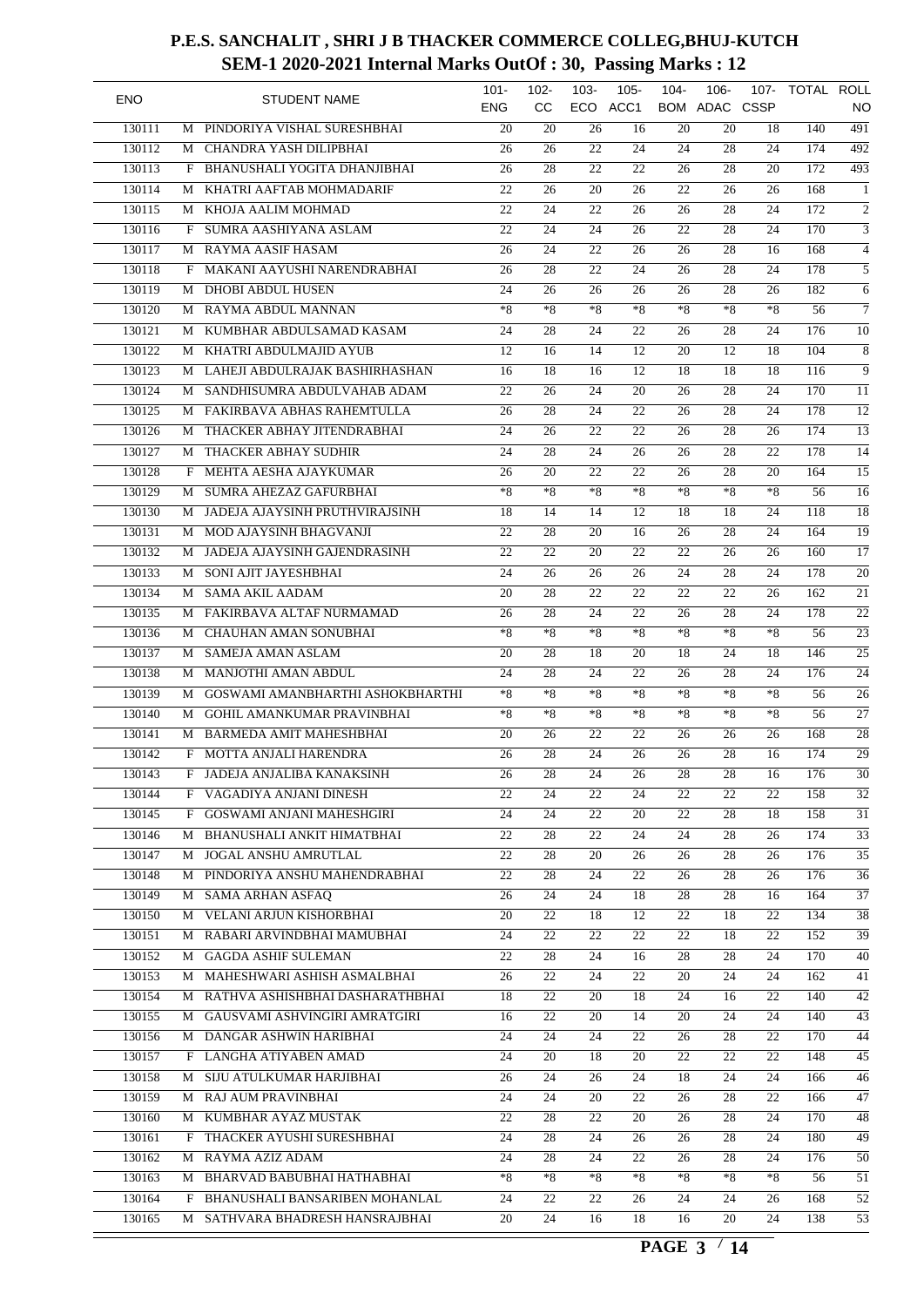| <b>ENO</b> |         | <b>STUDENT NAME</b>               | $101 -$<br><b>ENG</b> | $102 -$<br><b>CC</b> | $103 -$         | $105 -$<br>ECO ACC1 | $104 -$         | $106 -$<br>BOM ADAC CSSP | 107- | TOTAL ROLL | NO.              |
|------------|---------|-----------------------------------|-----------------------|----------------------|-----------------|---------------------|-----------------|--------------------------|------|------------|------------------|
| 130111     | M       | PINDORIYA VISHAL SURESHBHAI       | 20                    | 20                   | 26              | 16                  | 20              | 20                       | 18   | 140        | 491              |
| 130112     | M       | CHANDRA YASH DILIPBHAI            | 26                    | 26                   | 22              | 24                  | 24              | 28                       | 24   | 174        | $\overline{492}$ |
| 130113     | F       | BHANUSHALI YOGITA DHANJIBHAI      | 26                    | 28                   | 22              | 22                  | 26              | 28                       | 20   | 172        | 493              |
| 130114     | М       | KHATRI AAFTAB MOHMADARIF          | 22                    | 26                   | $\overline{20}$ | 26                  | 22              | 26                       | 26   | 168        | 1                |
| 130115     | М       | KHOJA AALIM MOHMAD                | 22                    | 24                   | 22              | 26                  | 26              | 28                       | 24   | 172        | $\overline{2}$   |
| 130116     | F       | SUMRA AASHIYANA ASLAM             | 22                    | 24                   | 24              | 26                  | 22              | 28                       | 24   | 170        | $\overline{3}$   |
| 130117     | M       | <b>RAYMA AASIF HASAM</b>          | 26                    | $\overline{24}$      | 22              | 26                  | 26              | 28                       | 16   | 168        | $\overline{4}$   |
| 130118     | F       | MAKANI AAYUSHI NARENDRABHAI       | 26                    | 28                   | 22              | 24                  | 26              | 28                       | 24   | 178        | 5                |
| 130119     | М       | <b>DHOBI ABDUL HUSEN</b>          | 24                    | 26                   | 26              | 26                  | 26              | 28                       | 26   | 182        | 6                |
| 130120     | M       | RAYMA ABDUL MANNAN                | $*8$                  | $*8$                 | $*8$            | $*8$                | $*8$            | $*8$                     | $*8$ | 56         | 7                |
| 130121     | M       | KUMBHAR ABDULSAMAD KASAM          | 24                    | 28                   | 24              | 22                  | 26              | 28                       | 24   | 176        | $\overline{10}$  |
| 130122     |         | M KHATRI ABDULMAJID AYUB          | 12                    | 16                   | 14              | 12                  | 20              | 12                       | 18   | 104        | 8                |
| 130123     | М       | LAHEJI ABDULRAJAK BASHIRHASHAN    | 16                    | 18                   | 16              | 12                  | 18              | 18                       | 18   | 116        | 9                |
| 130124     | М       | SANDHISUMRA ABDULVAHAB ADAM       | 22                    | 26                   | 24              | 20                  | 26              | 28                       | 24   | 170        | 11               |
| 130125     | М       | FAKIRBAVA ABHAS RAHEMTULLA        | 26                    | 28                   | 24              | 22                  | 26              | 28                       | 24   | 178        | $\overline{12}$  |
| 130126     | М       | THACKER ABHAY JITENDRABHAI        | 24                    | 26                   | 22              | 22                  | 26              | 28                       | 26   | 174        | $\overline{13}$  |
| 130127     | М       | THACKER ABHAY SUDHIR              | 24                    | 28                   | 24              | 26                  | 26              | 28                       | 22   | 178        | $\overline{14}$  |
| 130128     | F       | MEHTA AESHA AJAYKUMAR             | 26                    | 20                   | 22              | 22                  | 26              | 28                       | 20   | 164        | $\overline{15}$  |
| 130129     | M       | SUMRA AHEZAZ GAFURBHAI            | $*8$                  | $*8$                 | $*8$            | $*8$                | $*8$            | $*8$                     | $*8$ | 56         | 16               |
| 130130     | М       | JADEJA AJAYSINH PRUTHVIRAJSINH    | 18                    | 14                   | 14              | 12                  | 18              | 18                       | 24   | 118        | $\overline{18}$  |
| 130131     | М       | MOD AJAYSINH BHAGVANJI            | 22                    | $\overline{28}$      | 20              | 16                  | 26              | 28                       | 24   | 164        | $\overline{19}$  |
| 130132     | М       | JADEJA AJAYSINH GAJENDRASINH      | 22                    | 22                   | 20              | 22                  | 22              | 26                       | 26   | 160        | $\overline{17}$  |
| 130133     | M       | SONI AJIT JAYESHBHAI              | 24                    | 26                   | 26              | 26                  | 24              | 28                       | 24   | 178        | $\overline{20}$  |
| 130134     | M       | <b>SAMA AKIL AADAM</b>            | 20                    | 28                   | 22              | 22                  | 22              | 22                       | 26   | 162        | $\overline{21}$  |
| 130135     |         | M FAKIRBAVA ALTAF NURMAMAD        | 26                    | 28                   | 24              | 22                  | 26              | 28                       | 24   | 178        | $\overline{22}$  |
| 130136     | М       | <b>CHAUHAN AMAN SONUBHAI</b>      | $*8$                  | $*8$                 | $*8$            | $*8$                | $*8$            | $*8$                     | $*8$ | 56         | $\overline{23}$  |
| 130137     | М       | <b>SAMEJA AMAN ASLAM</b>          | 20                    | 28                   | 18              | 20                  | 18              | 24                       | 18   | 146        | $\overline{25}$  |
| 130138     | М       | MANJOTHI AMAN ABDUL               | 24                    | 28                   | 24              | 22                  | 26              | 28                       | 24   | 176        | 24               |
| 130139     | М       | GOSWAMI AMANBHARTHI ASHOKBHARTHI  | $*8$                  | $*8$                 | $*8$            | $*8$                | $*8$            | $*8$                     | $*8$ | 56         | $\overline{26}$  |
|            |         | <b>GOHIL AMANKUMAR PRAVINBHAI</b> | $*8$                  |                      |                 |                     | $*8$            | $*8$                     | $*8$ |            | $\overline{27}$  |
| 130140     | М       |                                   |                       | $*8$                 | $*8$            | $*8$                |                 |                          |      | 56         |                  |
| 130141     | M       | <b>BARMEDA AMIT MAHESHBHAI</b>    | 20                    | 26                   | 22              | 22                  | 26              | 26                       | 26   | 168        | $\overline{28}$  |
| 130142     | F       | MOTTA ANJALI HARENDRA             | 26                    | 28                   | 24              | 26                  | 26              | 28                       | 16   | 174        | $\overline{29}$  |
| 130143     |         | F JADEJA ANJALIBA KANAKSINH       | $\overline{26}$       | $\overline{28}$      | $\overline{24}$ | $\overline{26}$     | $\overline{28}$ | $\overline{28}$          | 16   | 176        | $\overline{30}$  |
| 130144     |         | F VAGADIYA ANJANI DINESH          | 22                    | 24                   | 22              | 24                  | 22              | 22                       | 22   | 158        | 32               |
| 130145     | $F_{-}$ | <b>GOSWAMI ANJANI MAHESHGIRI</b>  | $\overline{24}$       | 24                   | 22              | 20                  | 22              | 28                       | 18   | 158        | 31               |
| 130146     | M       | BHANUSHALI ANKIT HIMATBHAI        | 22                    | 28                   | 22              | 24                  | 24              | 28                       | 26   | 174        | $\overline{33}$  |
| 130147     |         | M JOGAL ANSHU AMRUTLAL            | 22                    | 28                   | 20              | 26                  | 26              | 28                       | 26   | 176        | $\overline{35}$  |
| 130148     | М       | PINDORIYA ANSHU MAHENDRABHAI      | $\overline{22}$       | 28                   | $\overline{24}$ | 22                  | 26              | 28                       | 26   | 176        | $\overline{36}$  |
| 130149     |         | M SAMA ARHAN ASFAQ                | 26                    | 24                   | 24              | 18                  | 28              | 28                       | 16   | 164        | $\overline{37}$  |
| 130150     |         | M VELANI ARJUN KISHORBHAI         | 20                    | 22                   | 18              | 12                  | 22              | 18                       | 22   | 134        | 38               |
| 130151     |         | M RABARI ARVINDBHAI MAMUBHAI      | 24                    | 22                   | 22              | 22                  | 22              | 18                       | 22   | 152        | 39               |
| 130152     |         | M GAGDA ASHIF SULEMAN             | 22                    | $\overline{28}$      | 24              | 16                  | 28              | 28                       | 24   | 170        | 40               |
| 130153     |         | M MAHESHWARI ASHISH ASMALBHAI     | 26                    | 22                   | 24              | 22                  | 20              | 24                       | 24   | 162        | 41               |
| 130154     |         | M RATHVA ASHISHBHAI DASHARATHBHAI | 18                    | 22                   | 20              | 18                  | 24              | 16                       | 22   | 140        | 42               |
| 130155     |         | M GAUSVAMI ASHVINGIRI AMRATGIRI   | 16                    | 22                   | 20              | 14                  | 20              | 24                       | 24   | 140        | 43               |
| 130156     |         | M DANGAR ASHWIN HARIBHAI          | 24                    | 24                   | 24              | 22                  | 26              | 28                       | 22   | 170        | 44               |
| 130157     |         | F LANGHA ATIYABEN AMAD            | 24                    | 20                   | 18              | 20                  | 22              | 22                       | 22   | 148        | 45               |
| 130158     | M       | SIJU ATULKUMAR HARJIBHAI          | 26                    | 24                   | 26              | 24                  | 18              | 24                       | 24   | 166        | 46               |
| 130159     |         | M RAJ AUM PRAVINBHAI              | 24                    | 24                   | 20              | 22                  | 26              | 28                       | 22   | 166        | 47               |
| 130160     | M       | KUMBHAR AYAZ MUSTAK               | 22                    | 28                   | 22              | 20                  | 26              | 28                       | 24   | 170        | 48               |
| 130161     |         | F THACKER AYUSHI SURESHBHAI       | 24                    | 28                   | 24              | 26                  | 26              | 28                       | 24   | 180        | 49               |
| 130162     |         | M RAYMA AZIZ ADAM                 | 24                    | 28                   | 24              | $\overline{22}$     | 26              | 28                       | 24   | 176        | 50               |
| 130163     |         | M BHARVAD BABUBHAI HATHABHAI      | $*8$                  | $*8$                 | $*8$            | $*8$                | $*8$            | $*8$                     | $*8$ | 56         | 51               |
| 130164     | F       | BHANUSHALI BANSARIBEN MOHANLAL    | 24                    | 22                   | 22              | 26                  | 24              | 24                       | 26   | 168        | 52               |
| 130165     |         | M SATHVARA BHADRESH HANSRAJBHAI   | 20                    | 24                   | 16              | 18                  | 16              | 20                       | 24   | 138        | 53               |
|            |         |                                   |                       |                      |                 |                     |                 |                          |      |            |                  |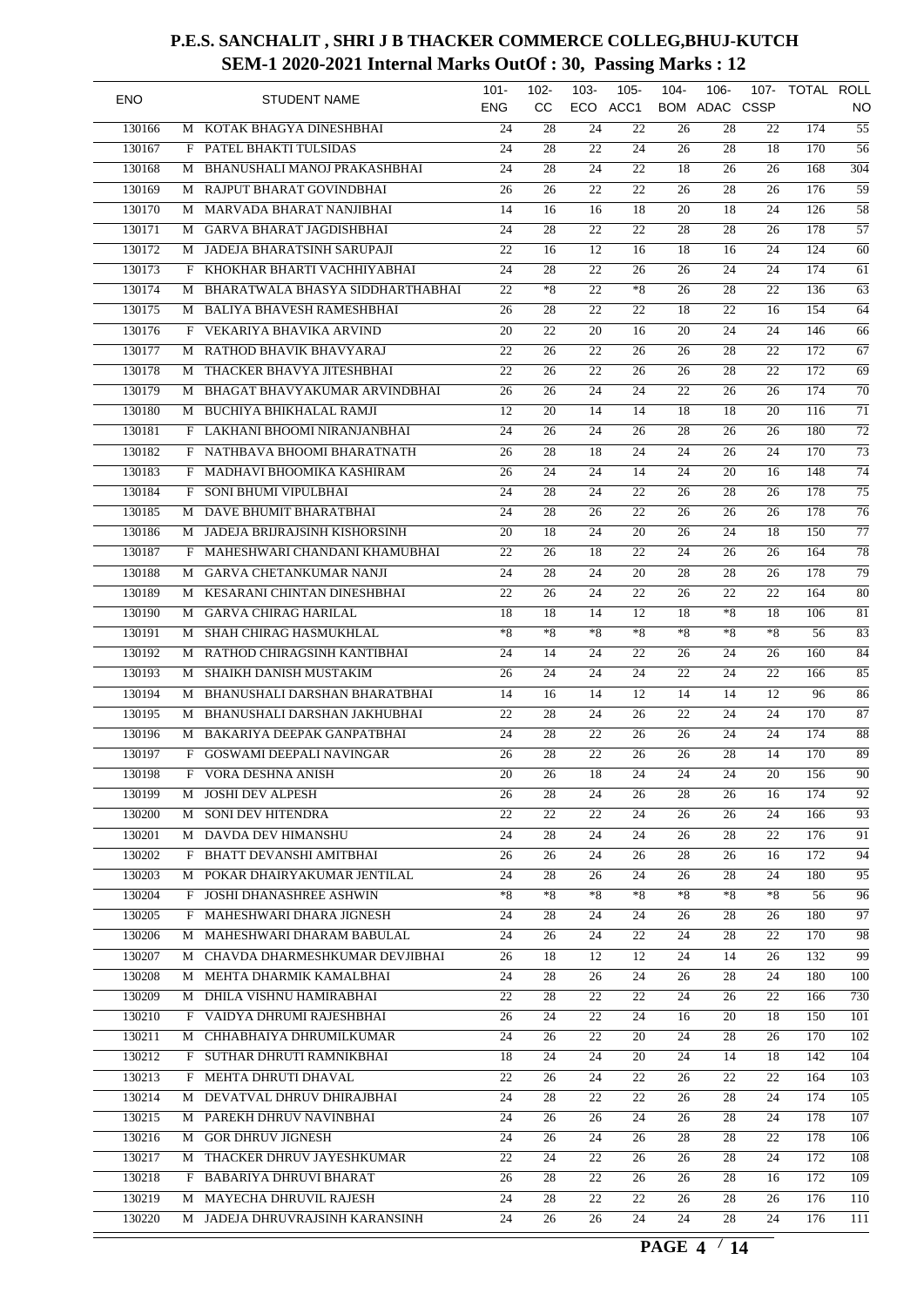| <b>ENO</b> |   | <b>STUDENT NAME</b>              | $101 -$<br><b>ENG</b> | $102 -$<br><b>CC</b> | $103 -$         | $105 -$<br>ECO ACC1 | $104 -$         | $106 -$<br><b>BOM ADAC CSSP</b> | 107-            | TOTAL ROLL | NO               |
|------------|---|----------------------------------|-----------------------|----------------------|-----------------|---------------------|-----------------|---------------------------------|-----------------|------------|------------------|
| 130166     | M | KOTAK BHAGYA DINESHBHAI          | 24                    | 28                   | 24              | 22                  | 26              | 28                              | 22              | 174        | $\overline{55}$  |
| 130167     | F | PATEL BHAKTI TULSIDAS            | 24                    | 28                   | 22              | 24                  | 26              | 28                              | 18              | 170        | $\overline{56}$  |
| 130168     | М | BHANUSHALI MANOJ PRAKASHBHAI     | 24                    | 28                   | 24              | 22                  | 18              | 26                              | 26              | 168        | 304              |
| 130169     | М | RAJPUT BHARAT GOVINDBHAI         | 26                    | 26                   | $\overline{22}$ | $\overline{22}$     | 26              | 28                              | 26              | 176        | $\overline{59}$  |
| 130170     | M | MARVADA BHARAT NANJIBHAI         | 14                    | 16                   | 16              | 18                  | 20              | 18                              | 24              | 126        | $\overline{58}$  |
| 130171     | M | <b>GARVA BHARAT JAGDISHBHAI</b>  | 24                    | 28                   | 22              | 22                  | 28              | 28                              | 26              | 178        | $\overline{57}$  |
| 130172     | М | JADEJA BHARATSINH SARUPAJI       | 22                    | 16                   | $\overline{12}$ | 16                  | 18              | 16                              | 24              | 124        | $\overline{60}$  |
| 130173     | F | KHOKHAR BHARTI VACHHIYABHAI      | 24                    | $\overline{28}$      | 22              | 26                  | 26              | 24                              | 24              | 174        | $\overline{61}$  |
| 130174     | М | BHARATWALA BHASYA SIDDHARTHABHAI | 22                    | $*8$                 | $\overline{22}$ | $*8$                | 26              | 28                              | 22              | 136        | $\overline{63}$  |
| 130175     | M | <b>BALIYA BHAVESH RAMESHBHAI</b> | 26                    | 28                   | $\overline{22}$ | $\overline{22}$     | 18              | 22                              | 16              | 154        | 64               |
| 130176     | F | VEKARIYA BHAVIKA ARVIND          | 20                    | 22                   | 20              | 16                  | 20              | 24                              | 24              | 146        | $\overline{66}$  |
| 130177     | M | RATHOD BHAVIK BHAVYARAJ          | 22                    | 26                   | 22              | 26                  | 26              | 28                              | 22              | 172        | 67               |
| 130178     | M | THACKER BHAVYA JITESHBHAI        | 22                    | 26                   | 22              | 26                  | 26              | 28                              | 22              | 172        | $\overline{69}$  |
| 130179     | М | BHAGAT BHAVYAKUMAR ARVINDBHAI    | 26                    | 26                   | 24              | 24                  | 22              | 26                              | 26              | 174        | $\overline{70}$  |
| 130180     | М | <b>BUCHIYA BHIKHALAL RAMJI</b>   | 12                    | 20                   | 14              | 14                  | 18              | 18                              | 20              | 116        | $\overline{71}$  |
| 130181     | F | LAKHANI BHOOMI NIRANJANBHAI      | 24                    | 26                   | 24              | 26                  | 28              | 26                              | 26              | 180        | $\overline{72}$  |
| 130182     | F | NATHBAVA BHOOMI BHARATNATH       | 26                    | 28                   | 18              | 24                  | 24              | 26                              | 24              | 170        | $\overline{73}$  |
| 130183     | F | MADHAVI BHOOMIKA KASHIRAM        | 26                    | 24                   | 24              | 14                  | 24              | 20                              | 16              | 148        | $\overline{74}$  |
| 130184     | F | SONI BHUMI VIPULBHAI             | 24                    | 28                   | 24              | 22                  | 26              | 28                              | 26              | 178        | $\overline{75}$  |
| 130185     | М | DAVE BHUMIT BHARATBHAI           | 24                    | $\overline{28}$      | 26              | 22                  | 26              | 26                              | 26              | 178        | $\overline{76}$  |
| 130186     | М | JADEJA BRIJRAJSINH KISHORSINH    | 20                    | 18                   | 24              | 20                  | 26              | 24                              | 18              | 150        | $\overline{77}$  |
| 130187     | F | MAHESHWARI CHANDANI KHAMUBHAI    | 22                    | 26                   | 18              | 22                  | 24              | 26                              | 26              | 164        | $\overline{78}$  |
| 130188     | M | <b>GARVA CHETANKUMAR NANJI</b>   | 24                    | 28                   | 24              | $\overline{20}$     | 28              | 28                              | 26              | 178        | $\overline{79}$  |
| 130189     | M | KESARANI CHINTAN DINESHBHAI      | 22                    | 26                   | 24              | 22                  | 26              | 22                              | 22              | 164        | $\overline{80}$  |
|            |   | <b>GARVA CHIRAG HARILAL</b>      | 18                    | 18                   | 14              | 12                  | 18              | $*8$                            | 18              | 106        | 81               |
| 130190     | M | SHAH CHIRAG HASMUKHLAL           | $*8$                  | $*8$                 | *8              | $*8$                | $*8$            | $*8$                            | $*8$            | 56         | $\overline{83}$  |
| 130191     | М |                                  |                       |                      |                 |                     |                 |                                 |                 |            |                  |
| 130192     | М | RATHOD CHIRAGSINH KANTIBHAI      | 24                    | 14                   | 24              | 22                  | 26              | 24                              | 26              | 160        | 84               |
| 130193     | М | SHAIKH DANISH MUSTAKIM           | 26                    | 24                   | 24              | 24                  | 22              | 24                              | 22              | 166        | 85               |
| 130194     | М | BHANUSHALI DARSHAN BHARATBHAI    | 14                    | 16                   | 14              | 12                  | 14              | 14                              | 12              | 96         | 86               |
| 130195     | М | BHANUSHALI DARSHAN JAKHUBHAI     | 22                    | 28                   | 24              | 26                  | 22              | 24                              | 24              | 170        | $\overline{87}$  |
| 130196     | М | BAKARIYA DEEPAK GANPATBHAI       | 24                    | 28                   | 22              | 26                  | 26              | 24                              | 24              | 174        | $\overline{88}$  |
| 130197     | F | <b>GOSWAMI DEEPALI NAVINGAR</b>  | 26                    | 28                   | 22              | 26                  | 26              | 28                              | 14              | 170        | 89               |
| 130198     | F | VORA DESHNA ANISH                | $\overline{20}$       | 26                   | $\overline{18}$ | $\overline{24}$     | $\overline{24}$ | 24                              | $\overline{20}$ | 156        | 90               |
| 130199     |   | M JOSHI DEV ALPESH               | 26                    | 28                   | 24              | 26                  | 28              | 26                              | 16              | 174        | 92               |
| 130200     | M | <b>SONI DEV HITENDRA</b>         | $\overline{22}$       | $\overline{22}$      | 22              | 24                  | 26              | 26                              | 24              | 166        | $\overline{93}$  |
| 130201     |   | M DAVDA DEV HIMANSHU             | 24                    | 28                   | 24              | 24                  | 26              | 28                              | 22              | 176        | 91               |
| 130202     |   | F BHATT DEVANSHI AMITBHAI        | 26                    | 26                   | 24              | 26                  | 28              | 26                              | 16              | 172        | 94               |
| 130203     | М | POKAR DHAIRYAKUMAR JENTILAL      | 24                    | 28                   | 26              | 24                  | 26              | 28                              | 24              | 180        | $\overline{95}$  |
| 130204     |   | F JOSHI DHANASHREE ASHWIN        | $*8$                  | $*8$                 | *8              | $*8$                | $*8$            | $*8$                            | $*8$            | 56         | 96               |
| 130205     |   | F MAHESHWARI DHARA JIGNESH       | 24                    | 28                   | 24              | 24                  | 26              | 28                              | 26              | 180        | 97               |
| 130206     | M | MAHESHWARI DHARAM BABULAL        | 24                    | 26                   | 24              | 22                  | 24              | 28                              | 22              | 170        | 98               |
| 130207     |   | M CHAVDA DHARMESHKUMAR DEVJIBHAI | 26                    | 18                   | 12              | 12                  | 24              | 14                              | 26              | 132        | 99               |
| 130208     |   | M MEHTA DHARMIK KAMALBHAI        | 24                    | 28                   | 26              | 24                  | 26              | 28                              | 24              | 180        | 100              |
| 130209     |   | M DHILA VISHNU HAMIRABHAI        | 22                    | 28                   | 22              | 22                  | 24              | 26                              | 22              | 166        | 730              |
| 130210     |   | F VAIDYA DHRUMI RAJESHBHAI       | 26                    | 24                   | 22              | 24                  | 16              | 20                              | 18              | 150        | 101              |
| 130211     |   | M CHHABHAIYA DHRUMILKUMAR        | 24                    | 26                   | 22              | 20                  | 24              | 28                              | 26              | 170        | 102              |
| 130212     |   | F SUTHAR DHRUTI RAMNIKBHAI       | 18                    | 24                   | 24              | 20                  | 24              | 14                              | 18              | 142        | 104              |
| 130213     |   | F MEHTA DHRUTI DHAVAL            | 22                    | 26                   | 24              | 22                  | 26              | 22                              | 22              | 164        | $\overline{103}$ |
| 130214     |   | M DEVATVAL DHRUV DHIRAJBHAI      | 24                    | 28                   | 22              | 22                  | 26              | 28                              | 24              | 174        | 105              |
| 130215     |   | M PAREKH DHRUV NAVINBHAI         | 24                    | 26                   | 26              | 24                  | 26              | 28                              | 24              | 178        | 107              |
| 130216     |   | M GOR DHRUV JIGNESH              | 24                    | 26                   | 24              | 26                  | 28              | 28                              | 22              | 178        | 106              |
| 130217     |   | M THACKER DHRUV JAYESHKUMAR      | 22                    | 24                   | 22              | 26                  | 26              | 28                              | 24              | 172        | $\overline{108}$ |
| 130218     |   | F BABARIYA DHRUVI BHARAT         | 26                    | 28                   | 22              | 26                  | 26              | 28                              | 16              | 172        | 109              |
| 130219     |   | M MAYECHA DHRUVIL RAJESH         | 24                    | 28                   | 22              | 22                  | 26              | 28                              | 26              | 176        | 110              |
| 130220     |   | M JADEJA DHRUVRAJSINH KARANSINH  | $\overline{24}$       | 26                   | 26              | $\overline{24}$     | 24              | 28                              | 24              | 176        | 111              |
|            |   |                                  |                       |                      |                 |                     |                 |                                 |                 |            |                  |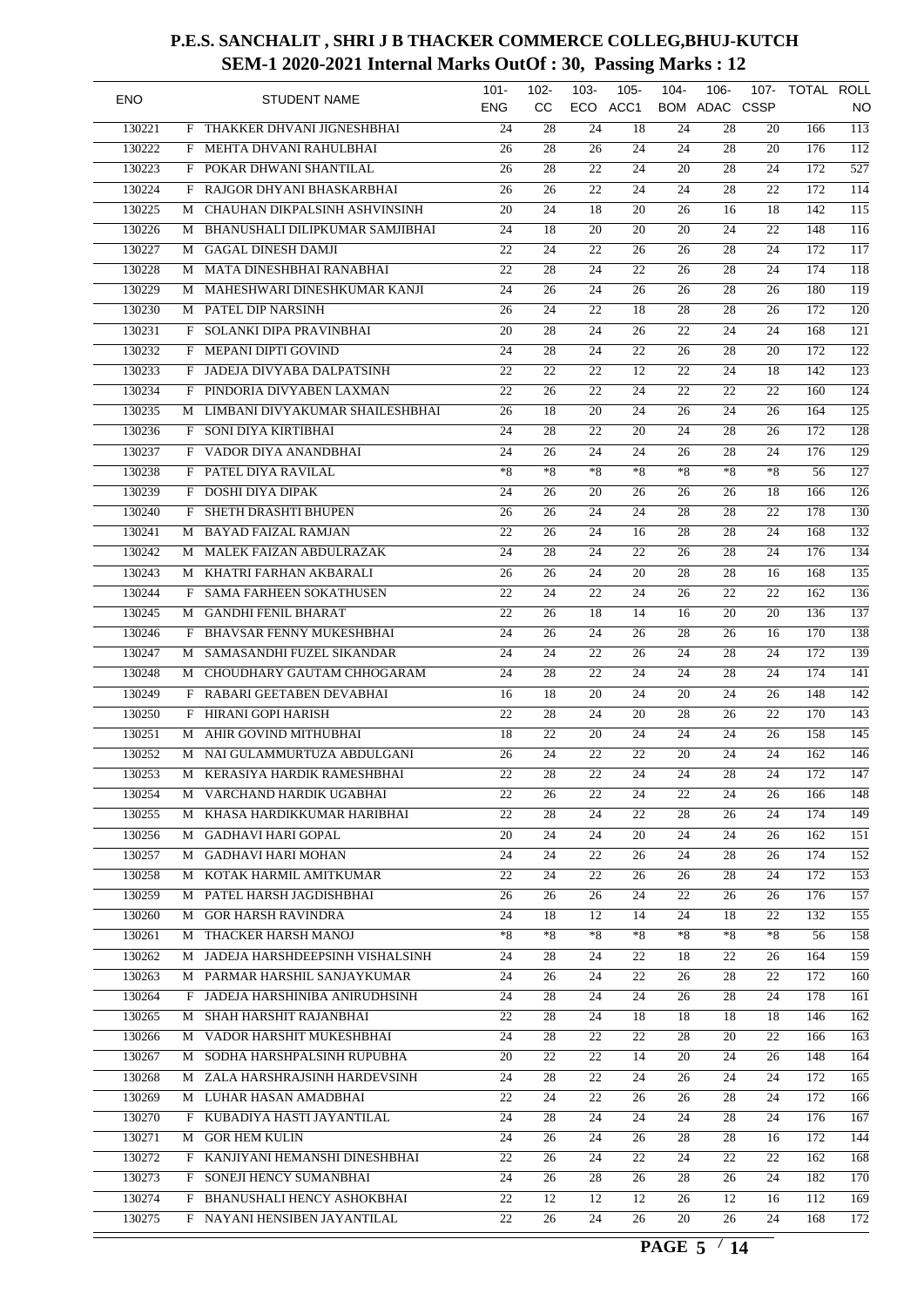| <b>ENO</b> |   | <b>STUDENT NAME</b>               | $101 -$<br>ENG  | $102 -$<br>cc   | $103 -$         | $105 -$<br>ECO ACC1 | $104 -$         | $106 -$<br>BOM ADAC CSSP | 107-            | TOTAL ROLL | NO               |
|------------|---|-----------------------------------|-----------------|-----------------|-----------------|---------------------|-----------------|--------------------------|-----------------|------------|------------------|
| 130221     | F | THAKKER DHVANI JIGNESHBHAI        | 24              | 28              | 24              | 18                  | 24              | 28                       | 20              | 166        | $\overline{113}$ |
| 130222     | F | MEHTA DHVANI RAHULBHAI            | 26              | 28              | 26              | 24                  | 24              | 28                       | 20              | 176        | $\overline{112}$ |
| 130223     | F | POKAR DHWANI SHANTILAL            | 26              | 28              | 22              | 24                  | 20              | 28                       | 24              | 172        | $\overline{527}$ |
| 130224     | F | RAJGOR DHYANI BHASKARBHAI         | 26              | 26              | $\overline{22}$ | $\overline{24}$     | $\overline{24}$ | $\overline{28}$          | 22              | 172        | 114              |
| 130225     | М | CHAUHAN DIKPALSINH ASHVINSINH     | 20              | $\overline{24}$ | 18              | 20                  | 26              | 16                       | 18              | 142        | $\overline{115}$ |
| 130226     | М | BHANUSHALI DILIPKUMAR SAMJIBHAI   | 24              | 18              | 20              | 20                  | 20              | 24                       | 22              | 148        | $\overline{116}$ |
| 130227     | М | <b>GAGAL DINESH DAMJI</b>         | 22              | $\overline{24}$ | $\overline{22}$ | 26                  | 26              | 28                       | 24              | 172        | $\overline{117}$ |
| 130228     | М | MATA DINESHBHAI RANABHAI          | 22              | $\overline{28}$ | 24              | 22                  | 26              | 28                       | 24              | 174        | $\overline{118}$ |
| 130229     | М | MAHESHWARI DINESHKUMAR KANJI      | 24              | 26              | 24              | 26                  | 26              | 28                       | 26              | 180        | $\overline{119}$ |
| 130230     | M | PATEL DIP NARSINH                 | 26              | $\overline{24}$ | $\overline{22}$ | 18                  | 28              | 28                       | 26              | 172        | 120              |
| 130231     | F | SOLANKI DIPA PRAVINBHAI           | 20              | $\overline{28}$ | 24              | 26                  | 22              | 24                       | 24              | 168        | $\overline{121}$ |
| 130232     | F | MEPANI DIPTI GOVIND               | 24              | 28              | 24              | $\overline{22}$     | 26              | 28                       | 20              | 172        | $\overline{122}$ |
| 130233     | F | JADEJA DIVYABA DALPATSINH         | 22              | 22              | 22              | 12                  | 22              | 24                       | 18              | 142        | $\overline{123}$ |
| 130234     | F | PINDORIA DIVYABEN LAXMAN          | 22              | 26              | 22              | 24                  | 22              | 22                       | 22              | 160        | $\overline{124}$ |
| 130235     | М | LIMBANI DIVYAKUMAR SHAILESHBHAI   | 26              | 18              | 20              | 24                  | 26              | 24                       | 26              | 164        | $\overline{125}$ |
| 130236     | F | SONI DIYA KIRTIBHAI               | 24              | 28              | 22              | 20                  | 24              | 28                       | 26              | 172        | $\overline{128}$ |
| 130237     | F | VADOR DIYA ANANDBHAI              | 24              | 26              | 24              | 24                  | 26              | 28                       | 24              | 176        | $\overline{129}$ |
| 130238     | F | PATEL DIYA RAVILAL                | $*8$            | $*8$            | $*8$            | $*8$                | $*8$            | $*8$                     | $*8$            | 56         | $\overline{127}$ |
|            |   |                                   |                 |                 |                 |                     |                 |                          |                 |            |                  |
| 130239     | F | <b>DOSHI DIYA DIPAK</b>           | 24              | 26              | 20              | 26                  | 26              | 26                       | 18              | 166        | $\frac{126}{2}$  |
| 130240     | F | SHETH DRASHTI BHUPEN              | $\overline{26}$ | $\overline{26}$ | 24              | 24                  | 28              | 28                       | 22              | 178        | 130              |
| 130241     | М | <b>BAYAD FAIZAL RAMJAN</b>        | 22              | 26              | 24              | 16                  | 28              | 28                       | 24              | 168        | $\overline{132}$ |
| 130242     | М | MALEK FAIZAN ABDULRAZAK           | 24              | 28              | 24              | 22                  | 26              | 28                       | 24              | 176        | 134              |
| 130243     | M | KHATRI FARHAN AKBARALI            | 26              | 26              | 24              | 20                  | 28              | 28                       | 16              | 168        | 135              |
| 130244     | F | <b>SAMA FARHEEN SOKATHUSEN</b>    | 22              | 24              | 22              | 24                  | 26              | 22                       | 22              | 162        | 136              |
| 130245     | М | <b>GANDHI FENIL BHARAT</b>        | 22              | 26              | 18              | 14                  | 16              | 20                       | 20              | 136        | $\overline{137}$ |
| 130246     | F | <b>BHAVSAR FENNY MUKESHBHAI</b>   | 24              | 26              | 24              | 26                  | 28              | 26                       | 16              | 170        | 138              |
| 130247     | М | SAMASANDHI FUZEL SIKANDAR         | 24              | 24              | 22              | 26                  | 24              | 28                       | 24              | 172        | 139              |
| 130248     | М | CHOUDHARY GAUTAM CHHOGARAM        | 24              | 28              | 22              | 24                  | 24              | 28                       | 24              | 174        | $\overline{141}$ |
| 130249     | F | RABARI GEETABEN DEVABHAI          | 16              | 18              | $\overline{20}$ | 24                  | 20              | 24                       | 26              | 148        | $\overline{142}$ |
| 130250     | F | <b>HIRANI GOPI HARISH</b>         | $\overline{22}$ | 28              | 24              | 20                  | 28              | 26                       | 22              | 170        | $\overline{143}$ |
| 130251     | М | AHIR GOVIND MITHUBHAI             | 18              | 22              | 20              | 24                  | 24              | 24                       | 26              | 158        | $\overline{145}$ |
| 130252     | М | NAI GULAMMURTUZA ABDULGANI        | 26              | 24              | 22              | 22                  | 20              | 24                       | 24              | 162        | 146              |
| 130253     |   | M KERASIYA HARDIK RAMESHBHAI      | $\overline{22}$ | $\overline{28}$ | $\overline{22}$ | $\overline{24}$     | $\overline{24}$ | $\overline{28}$          | $\overline{24}$ | 172        | $\overline{147}$ |
| 130254     |   | M VARCHAND HARDIK UGABHAI         | 22              | 26              | 22              | 24                  | 22              | 24                       | 26              | 166        | 148              |
| 130255     | M | KHASA HARDIKKUMAR HARIBHAI        | $\overline{22}$ | 28              | 24              | 22                  | 28              | 26                       | 24              | 174        | $\overline{149}$ |
| 130256     |   | M GADHAVI HARI GOPAL              | 20              | 24              | 24              | 20                  | 24              | 24                       | 26              | 162        | $\overline{151}$ |
| 130257     |   | M GADHAVI HARI MOHAN              | 24              | 24              | 22              | 26                  | 24              | 28                       | 26              | 174        | 152              |
| 130258     | М | KOTAK HARMIL AMITKUMAR            | 22              | $\overline{24}$ | 22              | 26                  | 26              | 28                       | 24              | 172        | 153              |
| 130259     |   | M PATEL HARSH JAGDISHBHAI         | 26              | 26              | 26              | 24                  | 22              | 26                       | 26              | 176        | $\overline{157}$ |
| 130260     |   | M GOR HARSH RAVINDRA              | 24              | 18              | 12              | 14                  | 24              | 18                       | 22              | 132        | 155              |
| 130261     |   | M THACKER HARSH MANOJ             | $*8$            | $*8$            | $*8$            | $\ast 8$            | $*8$            | $*8$                     | $*8$            | 56         | 158              |
| 130262     |   | M JADEJA HARSHDEEPSINH VISHALSINH | 24              | 28              | 24              | 22                  | 18              | 22                       | 26              | 164        | $\overline{159}$ |
| 130263     |   | M PARMAR HARSHIL SANJAYKUMAR      | 24              | 26              | 24              | 22                  | 26              | 28                       | 22              | 172        | 160              |
|            |   |                                   |                 |                 |                 |                     |                 |                          |                 |            |                  |
| 130264     | F | JADEJA HARSHINIBA ANIRUDHSINH     | 24              | 28              | 24              | 24                  | 26              | 28                       | 24              | 178        | 161              |
| 130265     |   | M SHAH HARSHIT RAJANBHAI          | 22              | 28              | 24              | 18                  | 18              | 18                       | 18              | 146        | $\overline{162}$ |
| 130266     |   | M VADOR HARSHIT MUKESHBHAI        | 24              | 28              | 22              | 22                  | 28              | 20                       | 22              | 166        | 163              |
| 130267     |   | M SODHA HARSHPALSINH RUPUBHA      | 20              | 22              | 22              | 14                  | 20              | 24                       | 26              | 148        | 164              |
| 130268     |   | M ZALA HARSHRAJSINH HARDEVSINH    | 24              | 28              | 22              | 24                  | 26              | 24                       | 24              | 172        | $\overline{165}$ |
| 130269     |   | M LUHAR HASAN AMADBHAI            | 22              | 24              | 22              | 26                  | 26              | 28                       | 24              | 172        | 166              |
| 130270     | F | KUBADIYA HASTI JAYANTILAL         | 24              | 28              | 24              | 24                  | 24              | 28                       | 24              | 176        | 167              |
| 130271     |   | M GOR HEM KULIN                   | 24              | 26              | 24              | 26                  | 28              | 28                       | 16              | 172        | 144              |
| 130272     |   | F KANJIYANI HEMANSHI DINESHBHAI   | 22              | 26              | 24              | 22                  | 24              | 22                       | 22              | 162        | 168              |
| 130273     | F | SONEJI HENCY SUMANBHAI            | 24              | 26              | 28              | 26                  | 28              | 26                       | 24              | 182        | 170              |
| 130274     | F | BHANUSHALI HENCY ASHOKBHAI        | 22              | 12              | 12              | 12                  | 26              | 12                       | 16              | 112        | $\overline{169}$ |
| 130275     |   | F NAYANI HENSIBEN JAYANTILAL      | $\overline{22}$ | 26              | $\overline{24}$ | 26                  | 20              | 26                       | 24              | 168        | $\overline{172}$ |
|            |   |                                   |                 |                 |                 |                     |                 |                          |                 |            |                  |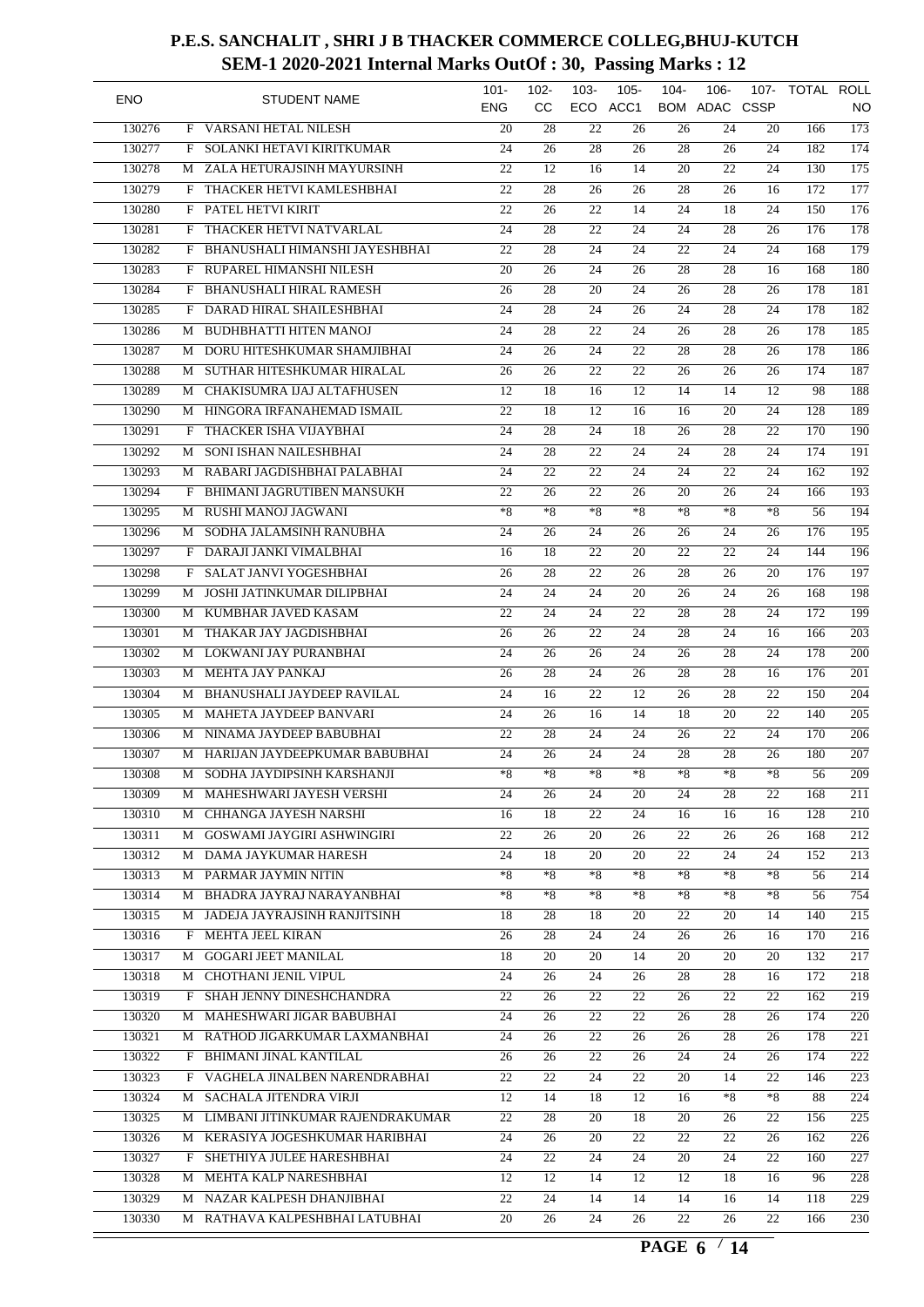| <b>ENO</b> |   | <b>STUDENT NAME</b>                   | $101 -$<br><b>ENG</b> | $102 -$<br>cc   | $103 -$ | $105 -$<br>ECO ACC1 | $104 -$ | $106 -$<br><b>BOM ADAC CSSP</b> | 107- | TOTAL ROLL | NO               |
|------------|---|---------------------------------------|-----------------------|-----------------|---------|---------------------|---------|---------------------------------|------|------------|------------------|
| 130276     | F | VARSANI HETAL NILESH                  | 20                    | 28              | 22      | 26                  | 26      | 24                              | 20   | 166        | $\overline{173}$ |
| 130277     | F | SOLANKI HETAVI KIRITKUMAR             | 24                    | 26              | 28      | 26                  | 28      | 26                              | 24   | 182        | $\overline{174}$ |
| 130278     |   | M ZALA HETURAJSINH MAYURSINH          | $\overline{22}$       | 12              | 16      | 14                  | 20      | 22                              | 24   | 130        | $\overline{175}$ |
| 130279     | F | THACKER HETVI KAMLESHBHAI             | 22                    | $\overline{28}$ | 26      | 26                  | 28      | 26                              | 16   | 172        | $\overline{177}$ |
| 130280     | F | PATEL HETVI KIRIT                     | 22                    | 26              | 22      | 14                  | 24      | 18                              | 24   | 150        | $\overline{176}$ |
| 130281     | F | THACKER HETVI NATVARLAL               | 24                    | 28              | 22      | 24                  | 24      | 28                              | 26   | 176        | 178              |
| 130282     | F | <b>BHANUSHALI HIMANSHI JAYESHBHAI</b> | 22                    | 28              | 24      | $\overline{24}$     | 22      | 24                              | 24   | 168        | 179              |
| 130283     | F | RUPAREL HIMANSHI NILESH               | 20                    | 26              | 24      | 26                  | 28      | 28                              | 16   | 168        | 180              |
| 130284     | F | <b>BHANUSHALI HIRAL RAMESH</b>        | 26                    | $\overline{28}$ | 20      | 24                  | 26      | 28                              | 26   | 178        | 181              |
| 130285     | F | DARAD HIRAL SHAILESHBHAI              | 24                    | 28              | 24      | 26                  | 24      | 28                              | 24   | 178        | 182              |
| 130286     | М | <b>BUDHBHATTI HITEN MANOJ</b>         | 24                    | 28              | 22      | 24                  | 26      | 28                              | 26   | 178        | $\overline{185}$ |
| 130287     | M | DORU HITESHKUMAR SHAMJIBHAI           | 24                    | 26              | 24      | $\overline{22}$     | 28      | 28                              | 26   | 178        | 186              |
| 130288     | М | SUTHAR HITESHKUMAR HIRALAL            | 26                    | 26              | 22      | 22                  | 26      | 26                              | 26   | 174        | 187              |
| 130289     | М | CHAKISUMRA IJAJ ALTAFHUSEN            | 12                    | $\overline{18}$ | 16      | 12                  | 14      | 14                              | 12   | 98         | 188              |
| 130290     | М | HINGORA IRFANAHEMAD ISMAIL            | 22                    | 18              | 12      | 16                  | 16      | 20                              | 24   | 128        | 189              |
| 130291     | F | THACKER ISHA VIJAYBHAI                | 24                    | 28              | 24      | 18                  | 26      | 28                              | 22   | 170        | $\overline{190}$ |
| 130292     | М | SONI ISHAN NAILESHBHAI                | 24                    | 28              | 22      | 24                  | 24      | 28                              | 24   | 174        | $\overline{191}$ |
| 130293     | М | RABARI JAGDISHBHAI PALABHAI           | 24                    | 22              | 22      | 24                  | 24      | 22                              | 24   | 162        | $\overline{192}$ |
| 130294     | F | BHIMANI JAGRUTIBEN MANSUKH            | 22                    | 26              | 22      | 26                  | 20      | 26                              | 24   | 166        | $\overline{193}$ |
| 130295     |   | RUSHI MANOJ JAGWANI                   | $*_{8}$               | $*8$            | $*8$    | $*8$                | $*8$    | $*8$                            | $*8$ | 56         | 194              |
|            | М |                                       |                       |                 |         |                     |         |                                 |      |            |                  |
| 130296     | М | SODHA JALAMSINH RANUBHA               | 24                    | $\overline{26}$ | 24      | 26                  | 26      | 24                              | 26   | 176        | $\overline{195}$ |
| 130297     | F | DARAJI JANKI VIMALBHAI                | 16                    | 18              | 22      | 20                  | 22      | 22                              | 24   | 144        | 196              |
| 130298     | F | SALAT JANVI YOGESHBHAI                | 26                    | 28              | 22      | 26                  | 28      | 26                              | 20   | 176        | 197              |
| 130299     | M | JOSHI JATINKUMAR DILIPBHAI            | 24                    | 24              | 24      | 20                  | 26      | 24                              | 26   | 168        | 198              |
| 130300     | М | KUMBHAR JAVED KASAM                   | 22                    | 24              | 24      | 22                  | 28      | 28                              | 24   | 172        | 199              |
| 130301     | М | THAKAR JAY JAGDISHBHAI                | $\overline{26}$       | 26              | 22      | 24                  | 28      | 24                              | 16   | 166        | $\overline{203}$ |
| 130302     | М | LOKWANI JAY PURANBHAI                 | 24                    | 26              | 26      | 24                  | 26      | 28                              | 24   | 178        | $\overline{200}$ |
| 130303     | М | MEHTA JAY PANKAJ                      | 26                    | 28              | 24      | 26                  | 28      | 28                              | 16   | 176        | 201              |
| 130304     | М | BHANUSHALI JAYDEEP RAVILAL            | 24                    | 16              | 22      | 12                  | 26      | 28                              | 22   | 150        | 204              |
| 130305     | М | MAHETA JAYDEEP BANVARI                | 24                    | 26              | 16      | 14                  | 18      | 20                              | 22   | 140        | $\overline{205}$ |
| 130306     | М | NINAMA JAYDEEP BABUBHAI               | 22                    | 28              | 24      | 24                  | 26      | 22                              | 24   | 170        | 206              |
| 130307     | М | HARIJAN JAYDEEPKUMAR BABUBHAI         | 24                    | 26              | 24      | 24                  | 28      | 28                              | 26   | 180        | 207              |
| 130308     |   | M SODHA JAYDIPSINH KARSHANJI          | $*_{8}$               | $*8$            | $*_{8}$ | $*8$                | $*8$    | $*8$                            | $*8$ | 56         | $\overline{209}$ |
| 130309     |   | M MAHESHWARI JAYESH VERSHI            | 24                    | 26              | 24      | 20                  | 24      | 28                              | 22   | 168        | 211              |
| 130310     | М | CHHANGA JAYESH NARSHI                 | 16                    | 18              | 22      | 24                  | 16      | 16                              | 16   | 128        | $\overline{210}$ |
| 130311     |   | M GOSWAMI JAYGIRI ASHWINGIRI          | 22                    | 26              | 20      | 26                  | 22      | 26                              | 26   | 168        | $\overline{212}$ |
| 130312     |   | M DAMA JAYKUMAR HARESH                | 24                    | 18              | 20      | 20                  | 22      | 24                              | 24   | 152        | 213              |
| 130313     |   | M PARMAR JAYMIN NITIN                 | $*8$                  | $*8$            | $*8$    | $*8$                | $*8$    | $*8$                            | $*8$ | 56         | $\overline{214}$ |
| 130314     |   | M BHADRA JAYRAJ NARAYANBHAI           | $*8$                  | $*8$            | *8      | $*8$                | $*8$    | $*8$                            | $*8$ | 56         | 754              |
| 130315     |   | M JADEJA JAYRAJSINH RANJITSINH        | 18                    | 28              | 18      | 20                  | 22      | 20                              | 14   | 140        | 215              |
| 130316     | F | MEHTA JEEL KIRAN                      | 26                    | 28              | 24      | 24                  | 26      | 26                              | 16   | 170        | 216              |
| 130317     |   | M GOGARI JEET MANILAL                 | 18                    | 20              | 20      | 14                  | 20      | 20                              | 20   | 132        | $\overline{217}$ |
| 130318     |   | M CHOTHANI JENIL VIPUL                | 24                    | 26              | 24      |                     | 28      | 28                              | 16   | 172        | 218              |
|            |   |                                       |                       |                 |         | 26                  |         |                                 |      |            |                  |
| 130319     | F | SHAH JENNY DINESHCHANDRA              | 22                    | 26              | 22      | 22                  | 26      | 22                              | 22   | 162        | 219              |
| 130320     |   | M MAHESHWARI JIGAR BABUBHAI           | 24                    | 26              | 22      | 22                  | 26      | 28                              | 26   | 174        | 220              |
| 130321     |   | M RATHOD JIGARKUMAR LAXMANBHAI        | 24                    | 26              | 22      | 26                  | 26      | 28                              | 26   | 178        | 221              |
| 130322     |   | F BHIMANI JINAL KANTILAL              | 26                    | 26              | 22      | 26                  | 24      | 24                              | 26   | 174        | 222              |
| 130323     |   | F VAGHELA JINALBEN NARENDRABHAI       | 22                    | 22              | 24      | 22                  | 20      | 14                              | 22   | 146        | $\overline{223}$ |
| 130324     |   | M SACHALA JITENDRA VIRJI              | 12                    | 14              | 18      | 12                  | 16      | $*8$                            | $*8$ | 88         | 224              |
| 130325     |   | M LIMBANI JITINKUMAR RAJENDRAKUMAR    | 22                    | 28              | 20      | 18                  | 20      | 26                              | 22   | 156        | 225              |
| 130326     |   | M KERASIYA JOGESHKUMAR HARIBHAI       | 24                    | 26              | 20      | 22                  | 22      | 22                              | 26   | 162        | $\overline{226}$ |
| 130327     |   | F SHETHIYA JULEE HARESHBHAI           | 24                    | 22              | 24      | 24                  | 20      | 24                              | 22   | 160        | 227              |
| 130328     |   | M MEHTA KALP NARESHBHAI               | 12                    | 12              | 14      | 12                  | 12      | 18                              | 16   | 96         | 228              |
| 130329     |   | M NAZAR KALPESH DHANJIBHAI            | 22                    | 24              | 14      | 14                  | 14      | 16                              | 14   | 118        | 229              |
| 130330     |   | M RATHAVA KALPESHBHAI LATUBHAI        | 20                    | 26              | 24      | 26                  | 22      | 26                              | 22   | 166        | 230              |
|            |   |                                       |                       |                 |         |                     |         |                                 |      |            |                  |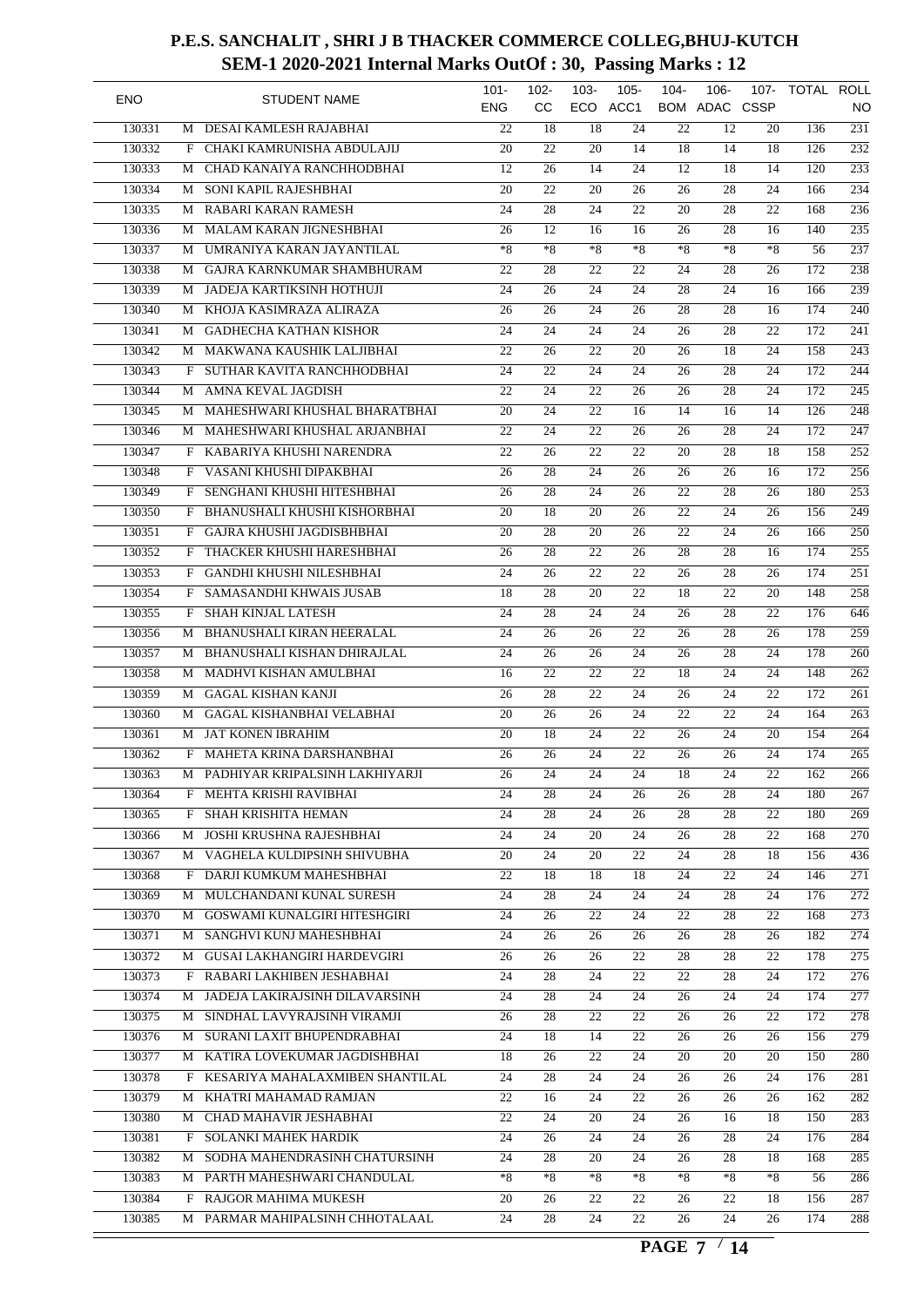| <b>ENO</b> |              | <b>STUDENT NAME</b>               | $101 -$<br><b>ENG</b> | $102 -$<br>cc   | $103 -$         | $105 -$<br>ECO ACC1 | $104 -$         | $106 -$<br>BOM ADAC CSSP | 107-            | TOTAL ROLL | NO               |
|------------|--------------|-----------------------------------|-----------------------|-----------------|-----------------|---------------------|-----------------|--------------------------|-----------------|------------|------------------|
| 130331     | M            | DESAI KAMLESH RAJABHAI            | 22                    | 18              | 18              | 24                  | 22              | 12                       | 20              | 136        | $\overline{231}$ |
| 130332     | F            | CHAKI KAMRUNISHA ABDULAJIJ        | 20                    | 22              | 20              | 14                  | 18              | 14                       | 18              | 126        | $\overline{232}$ |
| 130333     | М            | CHAD KANAIYA RANCHHODBHAI         | 12                    | 26              | 14              | 24                  | 12              | 18                       | 14              | 120        | $\overline{233}$ |
| 130334     | М            | SONI KAPIL RAJESHBHAI             | 20                    | $\overline{22}$ | 20              | 26                  | 26              | 28                       | 24              | 166        | 234              |
| 130335     | М            | RABARI KARAN RAMESH               | 24                    | 28              | 24              | 22                  | 20              | 28                       | 22              | 168        | $\overline{236}$ |
| 130336     | М            | MALAM KARAN JIGNESHBHAI           | 26                    | 12              | 16              | 16                  | 26              | 28                       | 16              | 140        | $\overline{235}$ |
| 130337     | М            | UMRANIYA KARAN JAYANTILAL         | $*8$                  | $*8$            | $*8$            | $*8$                | $*8$            | $*8$                     | $*8$            | 56         | 237              |
| 130338     | М            | GAJRA KARNKUMAR SHAMBHURAM        | 22                    | $\overline{28}$ | 22              | 22                  | 24              | 28                       | 26              | 172        | $\overline{238}$ |
| 130339     | М            | JADEJA KARTIKSINH HOTHUJI         | 24                    | 26              | 24              | 24                  | 28              | 24                       | 16              | 166        | 239              |
| 130340     | М            | KHOJA KASIMRAZA ALIRAZA           | $\overline{26}$       | 26              | 24              | 26                  | 28              | 28                       | 16              | 174        | $\overline{240}$ |
| 130341     | М            | <b>GADHECHA KATHAN KISHOR</b>     | 24                    | 24              | 24              | 24                  | 26              | 28                       | 22              | 172        | $\overline{241}$ |
| 130342     | М            | MAKWANA KAUSHIK LALJIBHAI         | 22                    | 26              | 22              | 20                  | 26              | 18                       | 24              | 158        | $\overline{243}$ |
| 130343     | F            | SUTHAR KAVITA RANCHHODBHAI        | 24                    | 22              | 24              | 24                  | 26              | 28                       | 24              | 172        | $\overline{244}$ |
| 130344     | М            | AMNA KEVAL JAGDISH                | 22                    | 24              | 22              | 26                  | 26              | 28                       | 24              | 172        | 245              |
| 130345     | М            | MAHESHWARI KHUSHAL BHARATBHAI     | 20                    | 24              | 22              | 16                  | 14              | 16                       | 14              | 126        | $\overline{248}$ |
| 130346     | М            | MAHESHWARI KHUSHAL ARJANBHAI      | 22                    | 24              | 22              | 26                  | 26              | 28                       | 24              | 172        | $\overline{247}$ |
| 130347     | F            | KABARIYA KHUSHI NARENDRA          | 22                    | 26              | 22              | 22                  | 20              | 28                       | 18              | 158        | $\overline{252}$ |
| 130348     | F            | VASANI KHUSHI DIPAKBHAI           | 26                    | 28              | 24              | 26                  | 26              | 26                       | 16              | 172        | 256              |
| 130349     | F            | SENGHANI KHUSHI HITESHBHAI        | 26                    | 28              | 24              | 26                  | 22              | 28                       | 26              | 180        | $\overline{253}$ |
| 130350     | F            | BHANUSHALI KHUSHI KISHORBHAI      | 20                    | $\overline{18}$ | $\overline{20}$ | 26                  | 22              | 24                       | 26              | 156        | $\overline{249}$ |
| 130351     | F            | GAJRA KHUSHI JAGDISBHBHAI         | 20                    | $\overline{28}$ | 20              | 26                  | 22              | 24                       | 26              | 166        | $\overline{250}$ |
| 130352     | F            | THACKER KHUSHI HARESHBHAI         | 26                    | 28              | 22              | 26                  | 28              | 28                       | 16              | 174        | 255              |
| 130353     | F            | <b>GANDHI KHUSHI NILESHBHAI</b>   | 24                    | 26              | 22              | 22                  | 26              | 28                       | 26              | 174        | $\overline{251}$ |
| 130354     | F            | SAMASANDHI KHWAIS JUSAB           | 18                    | 28              | 20              | 22                  | 18              | 22                       | 20              | 148        | 258              |
| 130355     | F            | <b>SHAH KINJAL LATESH</b>         | 24                    | 28              | 24              | 24                  | 26              | 28                       | 22              | 176        | 646              |
|            |              | BHANUSHALI KIRAN HEERALAL         | 24                    | 26              | 26              | 22                  | 26              | 28                       | 26              | 178        | 259              |
| 130356     | М            |                                   |                       |                 |                 |                     |                 |                          |                 |            |                  |
| 130357     | М            | BHANUSHALI KISHAN DHIRAJLAL       | 24                    | 26              | 26              | 24                  | 26              | 28                       | 24              | 178        | $\overline{260}$ |
| 130358     | М            | MADHVI KISHAN AMULBHAI            | 16                    | 22              | 22              | 22                  | 18              | 24                       | 24              | 148        | 262              |
| 130359     | М            | <b>GAGAL KISHAN KANJI</b>         | 26                    | $\overline{28}$ | 22              | 24                  | 26              | 24                       | 22              | 172        | $\overline{261}$ |
| 130360     | М            | <b>GAGAL KISHANBHAI VELABHAI</b>  | 20                    | 26              | 26              | 24                  | 22              | 22                       | 24              | 164        | $\overline{263}$ |
| 130361     | M            | <b>JAT KONEN IBRAHIM</b>          | 20                    | 18              | 24              | 22                  | 26              | 24                       | 20              | 154        | 264              |
| 130362     | $\mathbf{F}$ | MAHETA KRINA DARSHANBHAI          | 26                    | 26              | 24              | 22                  | 26              | 26                       | 24              | 174        | $\overline{265}$ |
| 130363     |              | M PADHIYAR KRIPALSINH LAKHIYARJI  | $\overline{26}$       | $\overline{24}$ | $\overline{24}$ | $\overline{24}$     | $\overline{18}$ | $\overline{24}$          | $\overline{22}$ | 162        | 266              |
| 130364     |              | F MEHTA KRISHI RAVIBHAI           | 24                    | 28              | 24              | 26                  | 26              | 28                       | 24              | 180        | 267              |
| 130365     | F            | SHAH KRISHITA HEMAN               | 24                    | 28              | 24              | 26                  | 28              | 28                       | $\overline{22}$ | 180        | 269              |
| 130366     | М            | JOSHI KRUSHNA RAJESHBHAI          | 24                    | 24              | 20              | 24                  | 26              | 28                       | 22              | 168        | $\overline{270}$ |
| 130367     |              | M VAGHELA KULDIPSINH SHIVUBHA     | 20                    | 24              | 20              | 22                  | 24              | 28                       | 18              | 156        | 436              |
| 130368     | $\mathbf{F}$ | DARJI KUMKUM MAHESHBHAI           | $\overline{22}$       | 18              | 18              | 18                  | 24              | 22                       | 24              | 146        | $\overline{271}$ |
| 130369     | М            | MULCHANDANI KUNAL SURESH          | 24                    | 28              | 24              | 24                  | 24              | 28                       | 24              | 176        | $\overline{272}$ |
| 130370     |              | M GOSWAMI KUNALGIRI HITESHGIRI    | 24                    | 26              | 22              | 24                  | 22              | 28                       | 22              | 168        | 273              |
| 130371     |              | M SANGHVI KUNJ MAHESHBHAI         | 24                    | 26              | 26              | 26                  | 26              | 28                       | 26              | 182        | 274              |
| 130372     |              | M GUSAI LAKHANGIRI HARDEVGIRI     | 26                    | 26              | 26              | 22                  | 28              | 28                       | 22              | 178        | $\overline{275}$ |
| 130373     |              | F RABARI LAKHIBEN JESHABHAI       | 24                    | 28              | 24              | 22                  | 22              | 28                       | 24              | 172        | 276              |
| 130374     | M            | JADEJA LAKIRAJSINH DILAVARSINH    | 24                    | 28              | 24              | 24                  | 26              | 24                       | 24              | 174        | 277              |
| 130375     |              | M SINDHAL LAVYRAJSINH VIRAMJI     | 26                    | 28              | 22              | 22                  | 26              | 26                       | 22              | 172        | 278              |
| 130376     |              | M SURANI LAXIT BHUPENDRABHAI      | 24                    | 18              | 14              | 22                  | 26              | 26                       | 26              | 156        | 279              |
| 130377     |              | M KATIRA LOVEKUMAR JAGDISHBHAI    | 18                    | 26              | 22              | 24                  | 20              | 20                       | 20              | 150        | 280              |
| 130378     |              | F KESARIYA MAHALAXMIBEN SHANTILAL | 24                    | 28              | 24              | 24                  | 26              | 26                       | 24              | 176        | 281              |
| 130379     |              | M KHATRI MAHAMAD RAMJAN           | 22                    | 16              | 24              | 22                  | 26              | 26                       | 26              | 162        | 282              |
| 130380     | М            | CHAD MAHAVIR JESHABHAI            | 22                    | 24              | 20              | 24                  | 26              | 16                       | 18              | 150        | 283              |
| 130381     | F            | SOLANKI MAHEK HARDIK              | 24                    | 26              | 24              | 24                  | 26              | 28                       | 24              | 176        | 284              |
| 130382     | М            | SODHA MAHENDRASINH CHATURSINH     | 24                    | 28              | 20              | 24                  | 26              | 28                       | 18              | 168        | 285              |
| 130383     |              | M PARTH MAHESHWARI CHANDULAL      | $*8$                  | $*8$            | $*8$            | $*8$                | $*8$            | $*8$                     | $*8$            | 56         | 286              |
| 130384     | F            | RAJGOR MAHIMA MUKESH              | 20                    | 26              | 22              | 22                  | 26              | 22                       | 18              | 156        | 287              |
| 130385     |              | M PARMAR MAHIPALSINH CHHOTALAAL   | 24                    | 28              | 24              | 22                  | 26              | 24                       | 26              | 174        | 288              |
|            |              |                                   |                       |                 |                 |                     |                 |                          |                 |            |                  |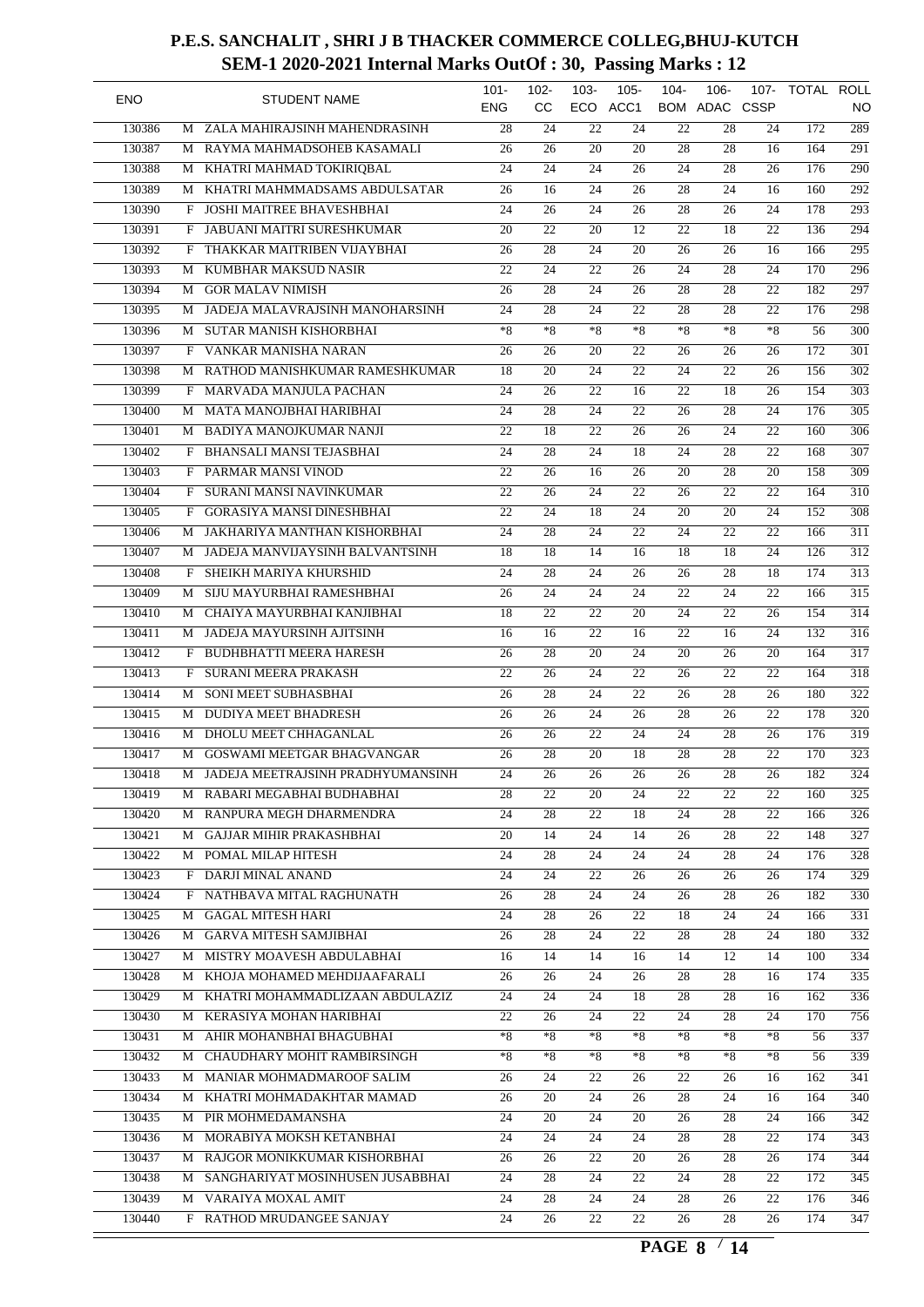| <b>ENO</b> |        |   | <b>STUDENT NAME</b>                 | $101 -$<br><b>ENG</b> | $102 -$<br>cc   | $103 -$         | $105 -$<br>ECO ACC1 | $104 -$         | $106 -$<br>BOM ADAC CSSP | 107-            | TOTAL ROLL | NO               |
|------------|--------|---|-------------------------------------|-----------------------|-----------------|-----------------|---------------------|-----------------|--------------------------|-----------------|------------|------------------|
|            | 130386 | M | ZALA MAHIRAJSINH MAHENDRASINH       | $\overline{28}$       | 24              | 22              | 24                  | $\overline{22}$ | 28                       | 24              | 172        | 289              |
|            | 130387 | М | RAYMA MAHMADSOHEB KASAMALI          | 26                    | 26              | 20              | 20                  | 28              | 28                       | 16              | 164        | $\overline{291}$ |
|            | 130388 | М | KHATRI MAHMAD TOKIRIQBAL            | 24                    | 24              | 24              | 26                  | 24              | 28                       | 26              | 176        | $\overline{290}$ |
|            | 130389 | М | KHATRI MAHMMADSAMS ABDULSATAR       | 26                    | 16              | $\overline{24}$ | $\overline{26}$     | $\overline{28}$ | 24                       | 16              | 160        | 292              |
|            | 130390 | F | JOSHI MAITREE BHAVESHBHAI           | 24                    | 26              | 24              | $\overline{26}$     | 28              | 26                       | 24              | 178        | $\overline{293}$ |
|            | 130391 | F | JABUANI MAITRI SURESHKUMAR          | 20                    | $\overline{22}$ | 20              | $\overline{12}$     | 22              | 18                       | 22              | 136        | $\overline{294}$ |
|            | 130392 | F | THAKKAR MAITRIBEN VIJAYBHAI         | $\overline{26}$       | 28              | 24              | 20                  | $\overline{26}$ | 26                       | 16              | 166        | $\overline{295}$ |
|            | 130393 | М | KUMBHAR MAKSUD NASIR                | 22                    | 24              | 22              | $\overline{26}$     | 24              | 28                       | 24              | 170        | $\overline{296}$ |
|            | 130394 | М | <b>GOR MALAV NIMISH</b>             | 26                    | $\overline{28}$ | 24              | 26                  | 28              | 28                       | 22              | 182        | $\overline{297}$ |
|            | 130395 | M | JADEJA MALAVRAJSINH MANOHARSINH     | 24                    | 28              | $\overline{24}$ | 22                  | 28              | 28                       | $\overline{22}$ | 176        | 298              |
|            | 130396 | M | SUTAR MANISH KISHORBHAI             | $*8$                  | $*8$            | $*8$            | $*8$                | $*8$            | $*8$                     | $*8$            | 56         | $\overline{300}$ |
|            | 130397 | F | VANKAR MANISHA NARAN                | 26                    | 26              | 20              | 22                  | 26              | 26                       | 26              | 172        | 301              |
|            | 130398 | М | RATHOD MANISHKUMAR RAMESHKUMAR      | 18                    | 20              | 24              | 22                  | 24              | 22                       | 26              | 156        | $\overline{302}$ |
|            | 130399 | F | MARVADA MANJULA PACHAN              | 24                    | 26              | 22              | 16                  | 22              | 18                       | 26              | 154        | $\overline{303}$ |
|            | 130400 | М | MATA MANOJBHAI HARIBHAI             | 24                    | $\overline{28}$ | 24              | $\overline{22}$     | 26              | 28                       | 24              | 176        | $\overline{305}$ |
|            | 130401 | М | BADIYA MANOJKUMAR NANJI             | 22                    | 18              | 22              | $\overline{26}$     | 26              | $\overline{24}$          | 22              | 160        | $\overline{306}$ |
|            | 130402 | F | <b>BHANSALI MANSI TEJASBHAI</b>     | 24                    | $\overline{28}$ | 24              | $\overline{18}$     | 24              | 28                       | 22              | 168        | 307              |
|            | 130403 | F | PARMAR MANSI VINOD                  | $\overline{22}$       | 26              | 16              | 26                  | 20              | 28                       | 20              | 158        | 309              |
|            | 130404 | F | SURANI MANSI NAVINKUMAR             | 22                    | 26              | 24              | $\overline{22}$     | 26              | 22                       | 22              | 164        | $\overline{310}$ |
|            | 130405 | F | <b>GORASIYA MANSI DINESHBHAI</b>    | $\overline{22}$       | 24              | $\overline{18}$ | 24                  | 20              | 20                       | 24              | 152        | 308              |
|            | 130406 | М | JAKHARIYA MANTHAN KISHORBHAI        | 24                    | 28              | 24              | 22                  | 24              | 22                       | 22              | 166        | $\overline{311}$ |
|            | 130407 | М | JADEJA MANVIJAYSINH BALVANTSINH     | 18                    | 18              | 14              | 16                  | 18              | 18                       | $\overline{24}$ | 126        | $\overline{312}$ |
|            | 130408 | F | SHEIKH MARIYA KHURSHID              | 24                    | $\overline{28}$ | 24              | $\overline{26}$     | 26              | 28                       | 18              | 174        | $\overline{313}$ |
|            | 130409 | M | SIJU MAYURBHAI RAMESHBHAI           | 26                    | 24              | 24              | 24                  | 22              | 24                       | 22              | 166        | $\overline{315}$ |
|            | 130410 |   | CHAIYA MAYURBHAI KANJIBHAI          | $\overline{18}$       | 22              | 22              | 20                  | 24              | 22                       | 26              | 154        | 314              |
|            | 130411 | M | JADEJA MAYURSINH AJITSINH           | 16                    | $\overline{16}$ | 22              | 16                  | 22              | 16                       | 24              | 132        | $\overline{316}$ |
|            |        | М |                                     |                       |                 |                 |                     |                 |                          |                 |            | $\overline{317}$ |
|            | 130412 | F | <b>BUDHBHATTI MEERA HARESH</b>      | 26                    | $\overline{28}$ | 20              | 24                  | 20              | 26                       | 20              | 164        |                  |
|            | 130413 | F | SURANI MEERA PRAKASH                | 22                    | 26              | 24              | $\overline{22}$     | 26              | 22                       | 22              | 164        | $\overline{318}$ |
|            | 130414 | М | SONI MEET SUBHASBHAI                | $\overline{26}$       | $\overline{28}$ | 24              | $\overline{22}$     | 26              | $\overline{28}$          | 26              | 180        | $\overline{322}$ |
|            | 130415 | М | <b>DUDIYA MEET BHADRESH</b>         | 26                    | 26              | 24              | 26                  | $\overline{28}$ | 26                       | 22              | 178        | $\overline{320}$ |
|            | 130416 | M | DHOLU MEET CHHAGANLAL               | 26                    | 26              | 22              | $\overline{24}$     | 24              | 28                       | 26              | 176        | $\overline{319}$ |
|            | 130417 | M | GOSWAMI MEETGAR BHAGVANGAR          | 26                    | 28              | 20              | 18                  | 28              | 28                       | 22              | 170        | $\overline{323}$ |
|            | 130418 |   | M JADEJA MEETRAJSINH PRADHYUMANSINH | $\overline{24}$       | $\overline{26}$ | $\overline{26}$ | 26                  | 26              | $\overline{28}$          | $\overline{26}$ | 182        | $\overline{324}$ |
|            | 130419 |   | M RABARI MEGABHAI BUDHABHAI         | 28                    | 22              | 20              | 24                  | 22              | 22                       | 22              | 160        | 325              |
|            | 130420 | М | RANPURA MEGH DHARMENDRA             | $\overline{24}$       | 28              | 22              | 18                  | $\overline{24}$ | 28                       | $\overline{22}$ | 166        | $\overline{326}$ |
|            | 130421 | M | <b>GAJJAR MIHIR PRAKASHBHAI</b>     | 20                    | 14              | 24              | 14                  | 26              | 28                       | 22              | 148        | $\overline{327}$ |
|            | 130422 |   | M POMAL MILAP HITESH                | 24                    | 28              | 24              | 24                  | 24              | 28                       | 24              | 176        | 328              |
|            | 130423 | F | DARJI MINAL ANAND                   | $\overline{24}$       | $\overline{24}$ | 22              | 26                  | 26              | 26                       | 26              | 174        | $\overline{329}$ |
|            | 130424 | F | NATHBAVA MITAL RAGHUNATH            | 26                    | 28              | 24              | 24                  | 26              | 28                       | 26              | 182        | $\overline{330}$ |
|            | 130425 | M | <b>GAGAL MITESH HARI</b>            | 24                    | 28              | 26              | 22                  | 18              | 24                       | 24              | 166        | 331              |
|            | 130426 |   | M GARVA MITESH SAMJIBHAI            | 26                    | 28              | 24              | 22                  | 28              | 28                       | 24              | 180        | 332              |
|            | 130427 |   | M MISTRY MOAVESH ABDULABHAI         | 16                    | 14              | 14              | 16                  | 14              | 12                       | 14              | 100        | 334              |
|            | 130428 |   | M KHOJA MOHAMED MEHDIJAAFARALI      | 26                    | 26              | 24              | 26                  | 28              | 28                       | 16              | 174        | 335              |
|            | 130429 | M | KHATRI MOHAMMADLIZAAN ABDULAZIZ     | 24                    | 24              | 24              | 18                  | 28              | 28                       | 16              | 162        | 336              |
|            | 130430 |   | M KERASIYA MOHAN HARIBHAI           | 22                    | 26              | 24              | 22                  | 24              | 28                       | 24              | 170        | 756              |
|            | 130431 |   | M AHIR MOHANBHAI BHAGUBHAI          | $*8$                  | $*8$            | *8              | $*8$                | $*8$            | $*8$                     | $*8$            | 56         | 337              |
|            | 130432 |   | M CHAUDHARY MOHIT RAMBIRSINGH       | $^{\ast}8$            | $*8$            | *8              | ${}^*\!8$           | ${}^{\ast}8$    | $*8$                     | $*8$            | 56         | 339              |
|            | 130433 |   | M MANIAR MOHMADMAROOF SALIM         | 26                    | 24              | 22              | 26                  | 22              | 26                       | 16              | 162        | $\overline{341}$ |
|            | 130434 | М | KHATRI MOHMADAKHTAR MAMAD           | 26                    | 20              | 24              | 26                  | 28              | 24                       | 16              | 164        | $\overline{340}$ |
|            | 130435 | М | PIR MOHMEDAMANSHA                   | 24                    | 20              | 24              | 20                  | 26              | 28                       | 24              | 166        | 342              |
|            | 130436 | М | MORABIYA MOKSH KETANBHAI            | 24                    | 24              | 24              | 24                  | 28              | 28                       | 22              | 174        | $\overline{343}$ |
|            | 130437 |   | M RAJGOR MONIKKUMAR KISHORBHAI      | 26                    | 26              | 22              | 20                  | 26              | 28                       | 26              | 174        | 344              |
|            | 130438 |   | M SANGHARIYAT MOSINHUSEN JUSABBHAI  | 24                    | 28              | 24              | 22                  | 24              | 28                       | 22              | 172        | 345              |
|            | 130439 |   | M VARAIYA MOXAL AMIT                | 24                    | 28              | 24              | 24                  | 28              | 26                       | 22              | 176        | $\overline{346}$ |
|            | 130440 |   | F RATHOD MRUDANGEE SANJAY           | $\overline{24}$       | 26              | 22              | 22                  | 26              | 28                       | 26              | 174        | $\overline{347}$ |
|            |        |   |                                     |                       |                 |                 |                     |                 |                          |                 |            |                  |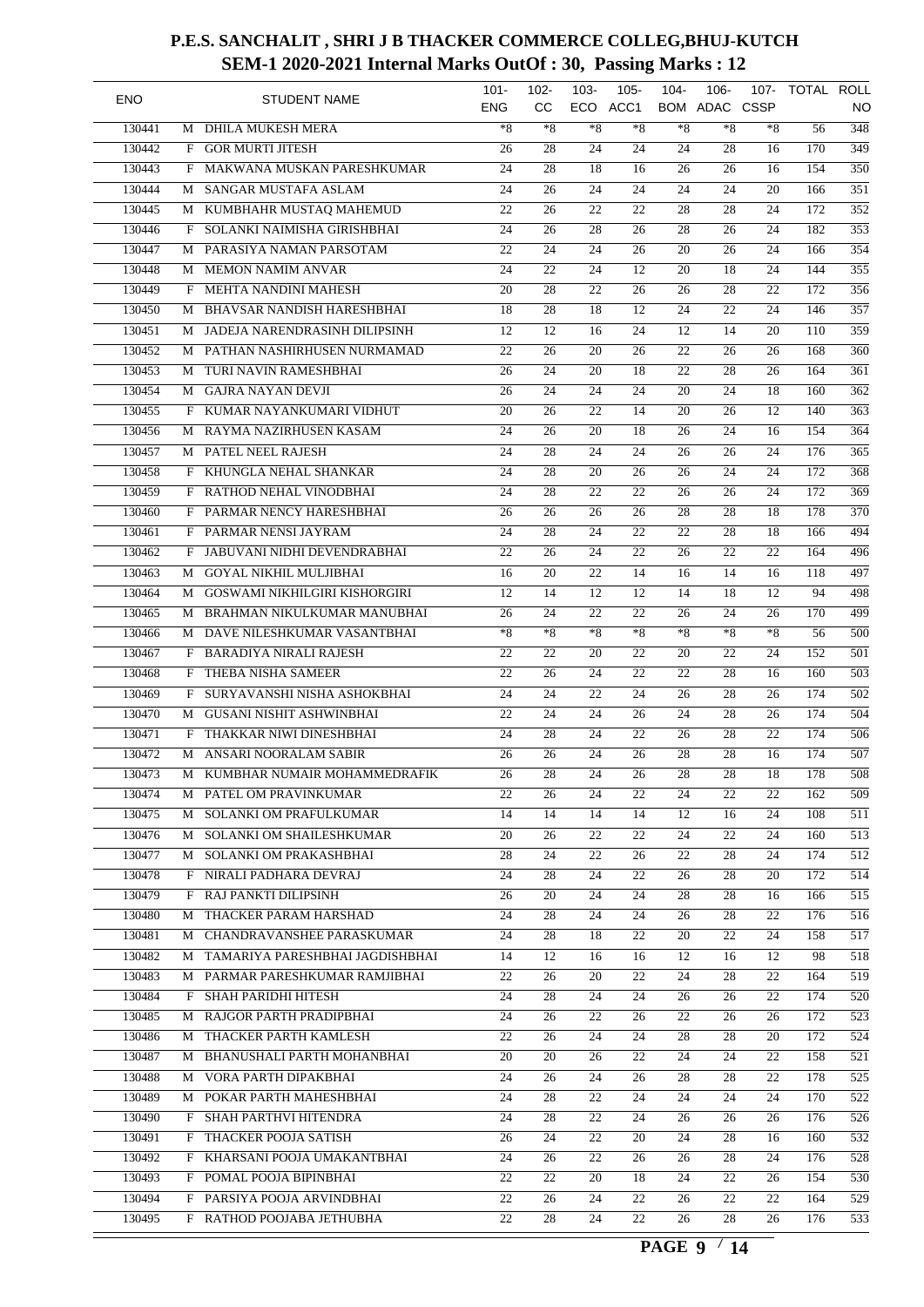| <b>ENO</b> |   | <b>STUDENT NAME</b>               | $101 -$<br><b>ENG</b> | $102 -$<br><b>CC</b> | $103 -$<br>ECO  | $105 -$<br>ACC1 | $104 -$         | $106 -$<br><b>BOM ADAC CSSP</b> | $107 -$         | TOTAL ROLL | <b>NO</b>        |
|------------|---|-----------------------------------|-----------------------|----------------------|-----------------|-----------------|-----------------|---------------------------------|-----------------|------------|------------------|
| 130441     | M | <b>DHILA MUKESH MERA</b>          | $*8$                  | $*8$                 | $*8$            | $*8$            | $*8$            | $*8$                            | $*8$            | 56         | $\overline{348}$ |
| 130442     | F | <b>GOR MURTI JITESH</b>           | 26                    | 28                   | $\overline{24}$ | 24              | 24              | 28                              | 16              | 170        | $\overline{349}$ |
| 130443     | F | MAKWANA MUSKAN PARESHKUMAR        | 24                    | 28                   | 18              | 16              | 26              | 26                              | 16              | 154        | $\overline{350}$ |
| 130444     | М | SANGAR MUSTAFA ASLAM              | 24                    | 26                   | 24              | $\overline{24}$ | 24              | 24                              | 20              | 166        | 351              |
| 130445     | М | KUMBHAHR MUSTAQ MAHEMUD           | 22                    | 26                   | 22              | 22              | 28              | 28                              | 24              | 172        | $\overline{352}$ |
| 130446     | F | SOLANKI NAIMISHA GIRISHBHAI       | 24                    | 26                   | 28              | 26              | 28              | 26                              | 24              | 182        | 353              |
| 130447     | М | PARASIYA NAMAN PARSOTAM           | 22                    | $\overline{24}$      | $\overline{24}$ | $\overline{26}$ | 20              | 26                              | 24              | 166        | 354              |
| 130448     | М | <b>MEMON NAMIM ANVAR</b>          | $\overline{24}$       | 22                   | 24              | 12              | 20              | 18                              | $\overline{24}$ | 144        | 355              |
| 130449     | F | MEHTA NANDINI MAHESH              | $\overline{20}$       | $\overline{28}$      | $\overline{22}$ | $\overline{26}$ | 26              | 28                              | 22              | 172        | 356              |
| 130450     | M | <b>BHAVSAR NANDISH HARESHBHAI</b> | 18                    | 28                   | 18              | 12              | 24              | $\overline{22}$                 | 24              | 146        | 357              |
| 130451     | M | JADEJA NARENDRASINH DILIPSINH     | 12                    | 12                   | 16              | 24              | 12              | 14                              | 20              | 110        | 359              |
| 130452     | M | PATHAN NASHIRHUSEN NURMAMAD       | 22                    | $\overline{26}$      | $\overline{20}$ | $\overline{26}$ | 22              | 26                              | 26              | 168        | 360              |
| 130453     | M | TURI NAVIN RAMESHBHAI             | 26                    | 24                   | 20              | 18              | 22              | 28                              | 26              | 164        | $\overline{361}$ |
| 130454     | М | <b>GAJRA NAYAN DEVJI</b>          | 26                    | 24                   | 24              | 24              | 20              | 24                              | 18              | 160        | $\overline{362}$ |
| 130455     | F | KUMAR NAYANKUMARI VIDHUT          | $\overline{20}$       | 26                   | 22              | 14              | 20              | 26                              | 12              | 140        | $\overline{363}$ |
| 130456     | М | RAYMA NAZIRHUSEN KASAM            | 24                    | 26                   | 20              | 18              | 26              | 24                              | 16              | 154        | $\overline{364}$ |
| 130457     | М | PATEL NEEL RAJESH                 | 24                    | $\overline{28}$      | 24              | 24              | 26              | 26                              | 24              | 176        | 365              |
| 130458     | F | KHUNGLA NEHAL SHANKAR             | 24                    | $\overline{28}$      | $\overline{20}$ | 26              | $\overline{26}$ | 24                              | 24              | 172        | 368              |
|            |   |                                   |                       |                      |                 |                 |                 |                                 |                 |            |                  |
| 130459     | F | RATHOD NEHAL VINODBHAI            | 24                    | 28                   | 22              | 22              | 26              | 26                              | 24              | 172        | 369              |
| 130460     | F | PARMAR NENCY HARESHBHAI           | $\overline{26}$       | $\overline{26}$      | $\overline{26}$ | 26              | 28              | 28                              | $\overline{18}$ | 178        | $\overline{370}$ |
| 130461     | F | PARMAR NENSI JAYRAM               | 24                    | $\overline{28}$      | 24              | $\overline{22}$ | 22              | 28                              | 18              | 166        | 494              |
| 130462     | F | JABUVANI NIDHI DEVENDRABHAI       | $\overline{22}$       | 26                   | 24              | 22              | 26              | $\overline{22}$                 | $\overline{22}$ | 164        | 496              |
| 130463     | M | <b>GOYAL NIKHIL MULJIBHAI</b>     | 16                    | $\overline{20}$      | 22              | 14              | 16              | 14                              | 16              | 118        | 497              |
| 130464     | M | GOSWAMI NIKHILGIRI KISHORGIRI     | 12                    | 14                   | 12              | 12              | 14              | 18                              | 12              | 94         | 498              |
| 130465     | М | BRAHMAN NIKULKUMAR MANUBHAI       | 26                    | 24                   | 22              | 22              | 26              | 24                              | 26              | 170        | 499              |
| 130466     | M | DAVE NILESHKUMAR VASANTBHAI       | $*8$                  | $*8$                 | $*8$            | $*8$            | $*8$            | $*8$                            | $*8$            | 56         | 500              |
| 130467     | F | <b>BARADIYA NIRALI RAJESH</b>     | $\overline{22}$       | $\overline{22}$      | $\overline{20}$ | $\overline{22}$ | $\overline{20}$ | 22                              | 24              | 152        | 501              |
| 130468     | F | THEBA NISHA SAMEER                | 22                    | 26                   | 24              | 22              | 22              | 28                              | 16              | 160        | $\overline{503}$ |
| 130469     | F | SURYAVANSHI NISHA ASHOKBHAI       | 24                    | 24                   | $\overline{22}$ | 24              | 26              | 28                              | 26              | 174        | $\overline{502}$ |
| 130470     | М | <b>GUSANI NISHIT ASHWINBHAI</b>   | 22                    | $\overline{24}$      | 24              | $\overline{26}$ | 24              | 28                              | 26              | 174        | 504              |
| 130471     | F | THAKKAR NIWI DINESHBHAI           | 24                    | 28                   | 24              | 22              | 26              | 28                              | 22              | 174        | $\overline{506}$ |
| 130472     | М | ANSARI NOORALAM SABIR             | 26                    | 26                   | $\overline{24}$ | 26              | 28              | 28                              | 16              | 174        | 507              |
| 130473     | M | KUMBHAR NUMAIR MOHAMMEDRAFIK      | $\overline{26}$       | $\overline{28}$      | $\overline{24}$ | $\overline{26}$ | $\overline{28}$ | $\overline{28}$                 | $\overline{18}$ | 178        | $\overline{508}$ |
| 130474     |   | M PATEL OM PRAVINKUMAR            | 22                    | 26                   | 24              | 22              | 24              | 22                              | 22              | 162        | 509              |
| 130475     | М | SOLANKI OM PRAFULKUMAR            | 14                    | 14                   | 14              | 14              | 12              | 16                              | 24              | 108        | 511              |
| 130476     | M | SOLANKI OM SHAILESHKUMAR          | 20                    | 26                   | 22              | 22              | 24              | 22                              | 24              | 160        | $\overline{513}$ |
| 130477     | M | SOLANKI OM PRAKASHBHAI            | 28                    | 24                   | 22              | 26              | 22              | 28                              | 24              | 174        | 512              |
| 130478     | F | NIRALI PADHARA DEVRAJ             | $\overline{24}$       | 28                   | 24              | 22              | 26              | 28                              | 20              | 172        | $\overline{514}$ |
| 130479     | F | RAJ PANKTI DILIPSINH              | 26                    | 20                   | 24              | 24              | 28              | 28                              | 16              | 166        | $\overline{515}$ |
| 130480     |   | M THACKER PARAM HARSHAD           | 24                    | 28                   | 24              | 24              | 26              | 28                              | 22              | 176        | 516              |
| 130481     |   | M CHANDRAVANSHEE PARASKUMAR       | 24                    | 28                   | 18              | 22              | 20              | 22                              | 24              | 158        | 517              |
| 130482     |   | M TAMARIYA PARESHBHAI JAGDISHBHAI | 14                    | 12                   | 16              | 16              | 12              | 16                              | 12              | 98         | $\overline{518}$ |
|            |   |                                   |                       |                      |                 |                 |                 |                                 |                 |            |                  |
| 130483     |   | M PARMAR PARESHKUMAR RAMJIBHAI    | 22                    | 26                   | 20              | 22              | 24              | 28                              | 22              | 164        | 519              |
| 130484     | F | SHAH PARIDHI HITESH               | 24                    | 28                   | 24              | 24              | 26              | 26                              | 22              | 174        | 520              |
| 130485     |   | M RAJGOR PARTH PRADIPBHAI         | 24                    | 26                   | 22              | 26              | 22              | 26                              | 26              | 172        | 523              |
| 130486     |   | M THACKER PARTH KAMLESH           | 22                    | 26                   | 24              | 24              | 28              | 28                              | 20              | 172        | 524              |
| 130487     |   | M BHANUSHALI PARTH MOHANBHAI      | 20                    | 20                   | 26              | 22              | 24              | 24                              | 22              | 158        | 521              |
| 130488     |   | M VORA PARTH DIPAKBHAI            | 24                    | 26                   | 24              | 26              | 28              | 28                              | 22              | 178        | $\overline{525}$ |
| 130489     |   | M POKAR PARTH MAHESHBHAI          | 24                    | 28                   | 22              | 24              | 24              | 24                              | 24              | 170        | 522              |
| 130490     | F | SHAH PARTHVI HITENDRA             | 24                    | 28                   | 22              | 24              | 26              | 26                              | 26              | 176        | 526              |
| 130491     | F | THACKER POOJA SATISH              | 26                    | 24                   | 22              | 20              | 24              | 28                              | 16              | 160        | $\overline{532}$ |
| 130492     |   | F KHARSANI POOJA UMAKANTBHAI      | 24                    | 26                   | 22              | 26              | 26              | 28                              | 24              | 176        | 528              |
| 130493     |   | F POMAL POOJA BIPINBHAI           | 22                    | 22                   | 20              | 18              | 24              | 22                              | 26              | 154        | 530              |
| 130494     | F | PARSIYA POOJA ARVINDBHAI          | 22                    | 26                   | 24              | 22              | 26              | 22                              | 22              | 164        | 529              |
| 130495     |   | F RATHOD POOJABA JETHUBHA         | $\overline{22}$       | 28                   | 24              | 22              | 26              | 28                              | 26              | 176        | 533              |
|            |   |                                   |                       |                      |                 |                 |                 |                                 |                 |            |                  |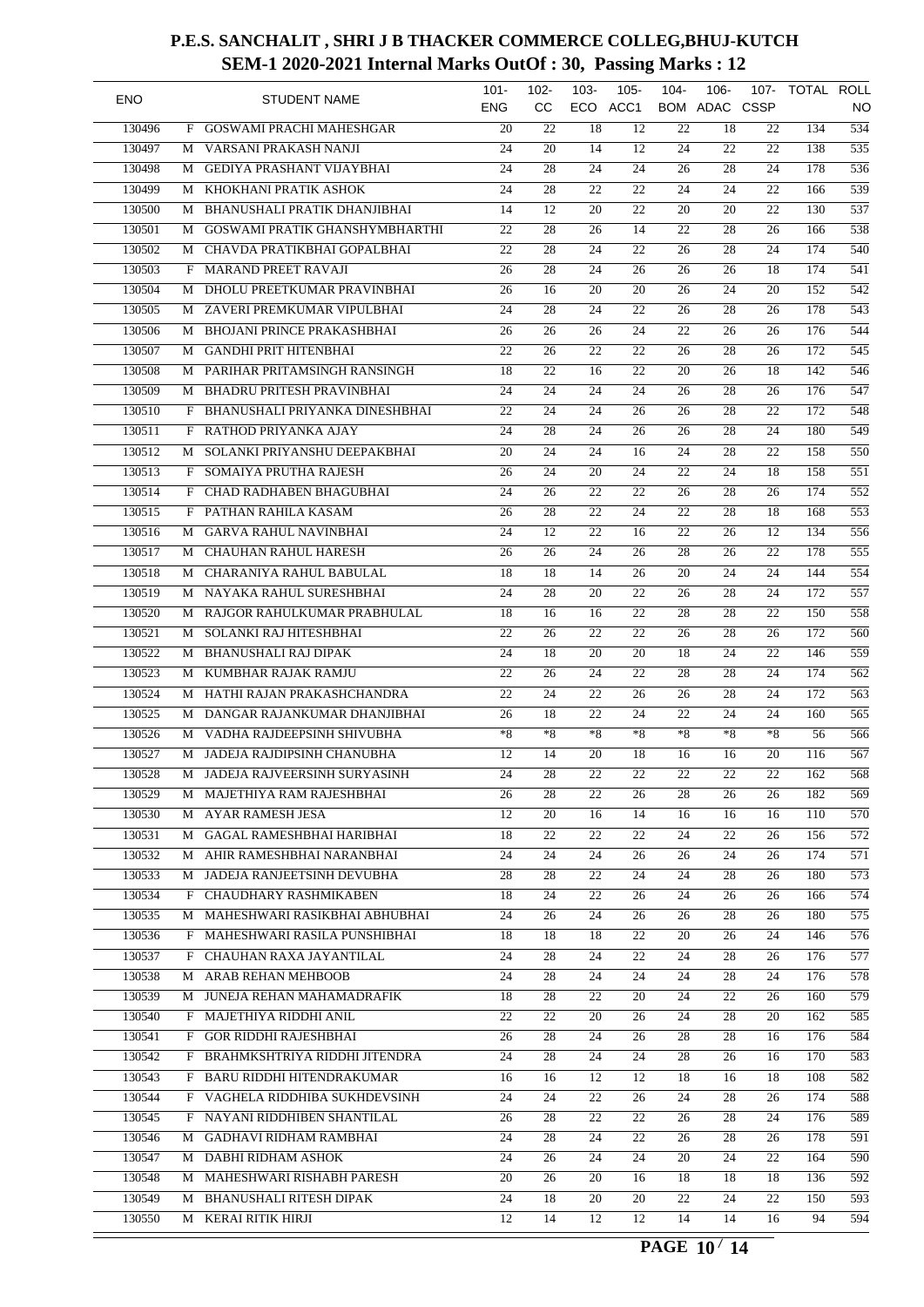| <b>ENO</b> |   | <b>STUDENT NAME</b>               | $101 -$<br><b>ENG</b> | $102 -$<br><b>CC</b> | $103 -$         | $105 -$<br>ECO ACC1 | $104 -$         | $106 -$<br>BOM ADAC CSSP | 107-            | TOTAL ROLL       | NO               |
|------------|---|-----------------------------------|-----------------------|----------------------|-----------------|---------------------|-----------------|--------------------------|-----------------|------------------|------------------|
| 130496     | F | GOSWAMI PRACHI MAHESHGAR          | $\overline{20}$       | 22                   | 18              | 12                  | 22              | 18                       | 22              | 134              | $\overline{534}$ |
| 130497     | М | VARSANI PRAKASH NANJI             | 24                    | 20                   | 14              | 12                  | 24              | 22                       | 22              | 138              | $\overline{535}$ |
| 130498     | M | <b>GEDIYA PRASHANT VIJAYBHAI</b>  | 24                    | 28                   | 24              | 24                  | 26              | 28                       | 24              | 178              | 536              |
| 130499     | М | KHOKHANI PRATIK ASHOK             | 24                    | $\overline{28}$      | $\overline{22}$ | 22                  | 24              | 24                       | 22              | 166              | 539              |
| 130500     | М | BHANUSHALI PRATIK DHANJIBHAI      | 14                    | 12                   | 20              | 22                  | 20              | 20                       | 22              | 130              | $\overline{537}$ |
| 130501     | М | GOSWAMI PRATIK GHANSHYMBHARTHI    | 22                    | 28                   | 26              | 14                  | 22              | 28                       | 26              | 166              | 538              |
| 130502     | М | CHAVDA PRATIKBHAI GOPALBHAI       | $\overline{22}$       | 28                   | $\overline{24}$ | $\overline{22}$     | 26              | 28                       | 24              | 174              | 540              |
| 130503     | F | <b>MARAND PREET RAVAJI</b>        | $\overline{26}$       | $\overline{28}$      | 24              | 26                  | 26              | 26                       | 18              | 174              | 541              |
| 130504     | М | DHOLU PREETKUMAR PRAVINBHAI       | 26                    | 16                   | 20              | 20                  | 26              | 24                       | 20              | 152              | $\overline{542}$ |
| 130505     | М | ZAVERI PREMKUMAR VIPULBHAI        | $\overline{24}$       | 28                   | 24              | $\overline{22}$     | 26              | 28                       | 26              | 178              | 543              |
| 130506     | M | <b>BHOJANI PRINCE PRAKASHBHAI</b> | 26                    | 26                   | 26              | 24                  | 22              | 26                       | 26              | 176              | 544              |
| 130507     | M | <b>GANDHI PRIT HITENBHAI</b>      | 22                    | 26                   | 22              | 22                  | 26              | 28                       | 26              | 172              | $\overline{545}$ |
| 130508     | M | PARIHAR PRITAMSINGH RANSINGH      | 18                    | 22                   | 16              | 22                  | 20              | 26                       | 18              | 142              | $\overline{546}$ |
| 130509     | М | <b>BHADRU PRITESH PRAVINBHAI</b>  | 24                    | 24                   | 24              | 24                  | 26              | 28                       | 26              | 176              | $\overline{547}$ |
| 130510     | F | BHANUSHALI PRIYANKA DINESHBHAI    | 22                    | 24                   | 24              | 26                  | 26              | 28                       | 22              | 172              | 548              |
| 130511     | F | RATHOD PRIYANKA AJAY              | 24                    | 28                   | 24              | 26                  | 26              | 28                       | 24              | 180              | $\overline{549}$ |
| 130512     | М | SOLANKI PRIYANSHU DEEPAKBHAI      | 20                    | 24                   | 24              | 16                  | 24              | 28                       | 22              | 158              | 550              |
| 130513     | F | SOMAIYA PRUTHA RAJESH             | 26                    | 24                   | 20              | 24                  | 22              | 24                       | 18              | 158              | $\overline{551}$ |
| 130514     | F | CHAD RADHABEN BHAGUBHAI           | 24                    | 26                   | 22              | 22                  | 26              | 28                       | 26              | 174              | $\overline{552}$ |
| 130515     |   | PATHAN RAHILA KASAM               | $\overline{26}$       | $\overline{28}$      | 22              | 24                  | 22              | 28                       | 18              | 168              | $\overline{553}$ |
|            | F |                                   |                       |                      |                 |                     |                 |                          |                 |                  |                  |
| 130516     | М | <b>GARVA RAHUL NAVINBHAI</b>      | 24                    | $\overline{12}$      | 22              | 16                  | $\overline{22}$ | 26                       | 12              | 134              | 556              |
| 130517     | М | <b>CHAUHAN RAHUL HARESH</b>       | 26                    | 26                   | 24              | 26                  | 28              | 26                       | 22              | 178              | $\overline{555}$ |
| 130518     | М | CHARANIYA RAHUL BABULAL           | 18                    | 18                   | 14              | 26                  | 20              | 24                       | 24              | 144              | 554              |
| 130519     | M | NAYAKA RAHUL SURESHBHAI           | 24                    | 28                   | 20              | 22                  | 26              | 28                       | 24              | 172              | $\overline{557}$ |
| 130520     | М | RAJGOR RAHULKUMAR PRABHULAL       | 18                    | 16                   | 16              | 22                  | 28              | 28                       | 22              | 150              | 558              |
| 130521     | М | SOLANKI RAJ HITESHBHAI            | 22                    | 26                   | 22              | 22                  | 26              | 28                       | 26              | 172              | $\overline{560}$ |
| 130522     | М | <b>BHANUSHALI RAJ DIPAK</b>       | 24                    | 18                   | 20              | 20                  | 18              | 24                       | 22              | 146              | 559              |
| 130523     | М | KUMBHAR RAJAK RAMJU               | 22                    | 26                   | 24              | 22                  | 28              | 28                       | 24              | 174              | 562              |
| 130524     | М | HATHI RAJAN PRAKASHCHANDRA        | 22                    | 24                   | 22              | 26                  | 26              | 28                       | 24              | 172              | 563              |
| 130525     | М | DANGAR RAJANKUMAR DHANJIBHAI      | 26                    | 18                   | 22              | 24                  | 22              | 24                       | 24              | 160              | $\overline{565}$ |
| 130526     | M | VADHA RAJDEEPSINH SHIVUBHA        | $*8$                  | $*8$                 | $*8$            | $*8$                | $*8$            | $*8$                     | $*8$            | 56               | 566              |
| 130527     | М | JADEJA RAJDIPSINH CHANUBHA        | 12                    | 14                   | $\overline{20}$ | 18                  | 16              | 16                       | 20              | 116              | 567              |
| 130528     | M | JADEJA RAJVEERSINH SURYASINH      | $\overline{24}$       | $\overline{28}$      | $\overline{22}$ | $\overline{22}$     | $\overline{22}$ | $\overline{22}$          | $\overline{22}$ | $\overline{162}$ | 568              |
| 130529     |   | M MAJETHIYA RAM RAJESHBHAI        | 26                    | 28                   | 22              | 26                  | 28              | 26                       | 26              | 182              | 569              |
| 130530     | М | AYAR RAMESH JESA                  | 12                    | 20                   | 16              | 14                  | 16              | 16                       | 16              | 110              | $\overline{570}$ |
| 130531     | M | GAGAL RAMESHBHAI HARIBHAI         | 18                    | 22                   | 22              | 22                  | 24              | 22                       | 26              | 156              | $\overline{572}$ |
| 130532     |   | M AHIR RAMESHBHAI NARANBHAI       | 24                    | 24                   | 24              | 26                  | 26              | 24                       | 26              | 174              | 571              |
| 130533     | М | JADEJA RANJEETSINH DEVUBHA        | $\overline{28}$       | 28                   | 22              | 24                  | 24              | 28                       | 26              | 180              | 573              |
| 130534     |   | F CHAUDHARY RASHMIKABEN           | 18                    | 24                   | 22              | 26                  | 24              | 26                       | 26              | 166              | $\overline{574}$ |
| 130535     |   | M MAHESHWARI RASIKBHAI ABHUBHAI   | 24                    | 26                   | 24              | 26                  | 26              | 28                       | 26              | 180              | 575              |
| 130536     |   | F MAHESHWARI RASILA PUNSHIBHAI    | 18                    | 18                   | 18              | 22                  | 20              | 26                       | 24              | 146              | 576              |
| 130537     | F | CHAUHAN RAXA JAYANTILAL           | 24                    | 28                   | 24              | 22                  | 24              | 28                       | 26              | 176              | 577              |
| 130538     |   | M ARAB REHAN MEHBOOB              | 24                    | 28                   | 24              | 24                  | 24              | 28                       | 24              | 176              | 578              |
| 130539     | M | JUNEJA REHAN MAHAMADRAFIK         | 18                    | 28                   | 22              | 20                  | 24              | 22                       | 26              | 160              | 579              |
| 130540     |   | F MAJETHIYA RIDDHI ANIL           | 22                    | 22                   | 20              | 26                  | 24              | 28                       | 20              | 162              | 585              |
| 130541     |   | F GOR RIDDHI RAJESHBHAI           | 26                    | 28                   | 24              | 26                  | 28              | 28                       | 16              | 176              | 584              |
| 130542     |   | F BRAHMKSHTRIYA RIDDHI JITENDRA   | 24                    | 28                   | 24              | 24                  | 28              | 26                       | 16              | 170              | 583              |
| 130543     |   | F BARU RIDDHI HITENDRAKUMAR       | 16                    | 16                   | 12              | 12                  | 18              | 16                       | 18              | 108              | $\overline{582}$ |
| 130544     |   | F VAGHELA RIDDHIBA SUKHDEVSINH    | 24                    | 24                   | 22              | 26                  | 24              | 28                       | 26              | 174              | 588              |
| 130545     | F | NAYANI RIDDHIBEN SHANTILAL        | 26                    | 28                   | 22              | 22                  | 26              | 28                       | 24              | 176              | 589              |
| 130546     | М | GADHAVI RIDHAM RAMBHAI            | 24                    | 28                   | 24              | 22                  | 26              | 28                       | 26              | 178              | 591              |
| 130547     |   | M DABHI RIDHAM ASHOK              | 24                    | 26                   | 24              | 24                  | 20              | 24                       | 22              | 164              | 590              |
|            |   |                                   |                       |                      |                 |                     |                 |                          |                 |                  |                  |
| 130548     |   | M MAHESHWARI RISHABH PARESH       | 20                    | 26                   | 20              | 16                  | 18              | 18                       | 18              | 136              | 592              |
| 130549     | M | BHANUSHALI RITESH DIPAK           | 24                    | 18                   | 20              | 20                  | 22              | 24                       | 22              | 150              | $\overline{593}$ |
| 130550     |   | M KERAI RITIK HIRJI               | 12                    | 14                   | 12              | 12                  | 14              | 14                       | 16              | 94               | 594              |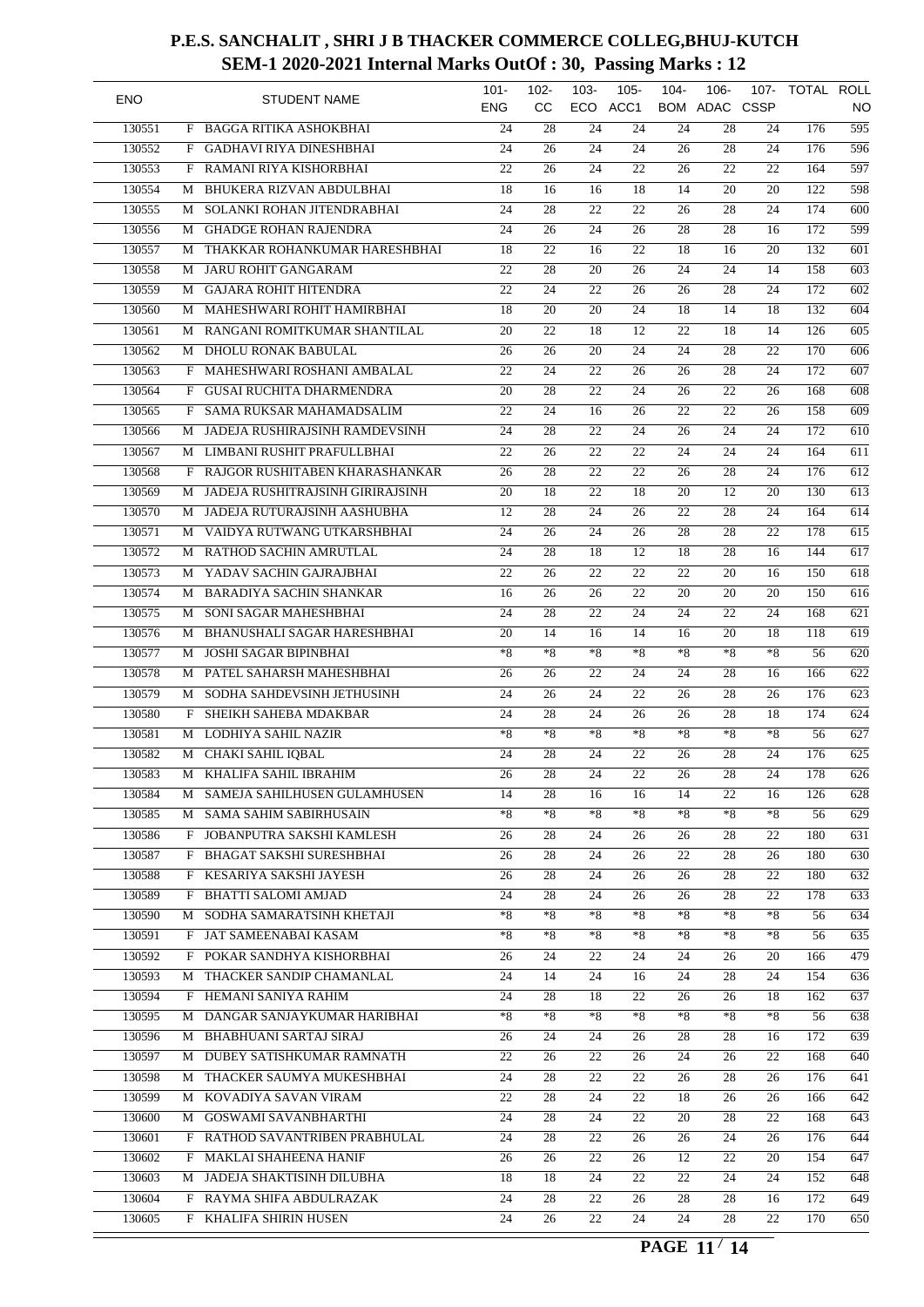| <b>ENO</b> |   | <b>STUDENT NAME</b>                                    | $101 -$          | $102 -$<br><b>CC</b> | $103 -$<br>ECO  | $105 -$<br>ACC1 | $104 -$         | $106 -$<br>BOM ADAC CSSP | 107-            | TOTAL ROLL |                        |
|------------|---|--------------------------------------------------------|------------------|----------------------|-----------------|-----------------|-----------------|--------------------------|-----------------|------------|------------------------|
| 130551     | F | <b>BAGGA RITIKA ASHOKBHAI</b>                          | <b>ENG</b><br>24 | 28                   | 24              | 24              | 24              | 28                       | 24              | 176        | NO<br>$\overline{595}$ |
| 130552     | F | <b>GADHAVI RIYA DINESHBHAI</b>                         | 24               | $\overline{26}$      | 24              | 24              | $\overline{26}$ | 28                       | 24              | 176        | 596                    |
| 130553     | F | RAMANI RIYA KISHORBHAI                                 | 22               | 26                   | 24              | 22              | 26              | 22                       | 22              | 164        | 597                    |
| 130554     | М | <b>BHUKERA RIZVAN ABDULBHAI</b>                        | 18               | 16                   | 16              | 18              | 14              | 20                       | 20              | 122        | 598                    |
|            |   |                                                        | 24               |                      |                 | $\overline{22}$ |                 | 28                       | 24              | 174        | $\overline{600}$       |
| 130555     | М | SOLANKI ROHAN JITENDRABHAI                             |                  | 28                   | 22              |                 | 26              |                          |                 |            |                        |
| 130556     | М | <b>GHADGE ROHAN RAJENDRA</b>                           | 24               | 26                   | 24              | 26              | 28              | 28                       | 16              | 172        | 599                    |
| 130557     | М | THAKKAR ROHANKUMAR HARESHBHAI                          | 18               | $\overline{22}$      | 16              | $\overline{22}$ | 18              | 16                       | 20              | 132        | 601                    |
| 130558     | М | <b>JARU ROHIT GANGARAM</b>                             | $\overline{22}$  | $\overline{28}$      | $\overline{20}$ | $\overline{26}$ | 24              | 24                       | 14              | 158        | $\overline{603}$       |
| 130559     | М | <b>GAJARA ROHIT HITENDRA</b>                           | $\overline{22}$  | $\overline{24}$      | $\overline{22}$ | 26              | 26              | $\overline{28}$          | 24              | 172        | $\overline{602}$       |
| 130560     | М | MAHESHWARI ROHIT HAMIRBHAI                             | 18               | 20                   | 20              | 24              | 18              | 14                       | 18              | 132        | 604                    |
| 130561     | М | RANGANI ROMITKUMAR SHANTILAL                           | 20               | $\overline{22}$      | 18              | $\overline{12}$ | 22              | 18                       | 14              | 126        | $\overline{605}$       |
| 130562     | M | DHOLU RONAK BABULAL                                    | 26               | 26                   | 20              | 24              | 24              | 28                       | 22              | 170        | $\overline{606}$       |
| 130563     | F | MAHESHWARI ROSHANI AMBALAL                             | 22               | 24                   | 22              | 26              | 26              | 28                       | 24              | 172        | $\overline{607}$       |
| 130564     | F | <b>GUSAI RUCHITA DHARMENDRA</b>                        | $\overline{20}$  | $\overline{28}$      | 22              | $\overline{24}$ | 26              | 22                       | 26              | 168        | 608                    |
| 130565     | F | SAMA RUKSAR MAHAMADSALIM                               | $\overline{22}$  | 24                   | 16              | 26              | $\overline{22}$ | 22                       | 26              | 158        | 609                    |
| 130566     | М | JADEJA RUSHIRAJSINH RAMDEVSINH                         | 24               | 28                   | 22              | 24              | 26              | 24                       | 24              | 172        | 610                    |
| 130567     | М | LIMBANI RUSHIT PRAFULLBHAI                             | 22               | 26                   | 22              | $\overline{22}$ | 24              | 24                       | 24              | 164        | $\overline{611}$       |
| 130568     | F | RAJGOR RUSHITABEN KHARASHANKAR                         | 26               | 28                   | 22              | 22              | 26              | 28                       | 24              | 176        | $\overline{612}$       |
| 130569     | М | JADEJA RUSHITRAJSINH GIRIRAJSINH                       | 20               | 18                   | 22              | 18              | 20              | 12                       | 20              | 130        | $\overline{613}$       |
| 130570     | М | JADEJA RUTURAJSINH AASHUBHA                            | 12               | $\overline{28}$      | $\overline{24}$ | $\overline{26}$ | $\overline{22}$ | 28                       | 24              | 164        | 614                    |
| 130571     | М | VAIDYA RUTWANG UTKARSHBHAI                             | 24               | 26                   | 24              | 26              | $\overline{28}$ | 28                       | 22              | 178        | $\overline{615}$       |
| 130572     | М | RATHOD SACHIN AMRUTLAL                                 | 24               | 28                   | 18              | 12              | 18              | 28                       | 16              | 144        | 617                    |
| 130573     | М | YADAV SACHIN GAJRAJBHAI                                | 22               | $\overline{26}$      | 22              | $\overline{22}$ | 22              | $\overline{20}$          | 16              | 150        | $\overline{618}$       |
| 130574     | M | <b>BARADIYA SACHIN SHANKAR</b>                         | 16               | 26                   | 26              | 22              | 20              | 20                       | 20              | 150        | $\overline{616}$       |
| 130575     | M | SONI SAGAR MAHESHBHAI                                  | 24               | 28                   | 22              | 24              | 24              | 22                       | 24              | 168        | 621                    |
| 130576     | М | BHANUSHALI SAGAR HARESHBHAI                            | $\overline{20}$  | 14                   | 16              | 14              | 16              | 20                       | 18              | 118        | $\overline{619}$       |
| 130577     | М | <b>JOSHI SAGAR BIPINBHAI</b>                           | $*8$             | $*8$                 | $*8$            | $*8$            | $*8$            | $*8$                     | $*8$            | 56         | $\overline{620}$       |
| 130578     | М | PATEL SAHARSH MAHESHBHAI                               | 26               | 26                   | 22              | 24              | 24              | 28                       | 16              | 166        | $\overline{622}$       |
| 130579     | М | SODHA SAHDEVSINH JETHUSINH                             | 24               | 26                   | 24              | $\overline{22}$ | 26              | 28                       | 26              | 176        | $\overline{623}$       |
| 130580     | F | SHEIKH SAHEBA MDAKBAR                                  | 24               | 28                   | 24              | 26              | 26              | $\overline{28}$          | 18              | 174        | 624                    |
| 130581     | М | LODHIYA SAHIL NAZIR                                    | $*8$             | $*8$                 | $*8$            | $*8$            | $*8$            | $*8$                     | $*8$            | 56         | $\overline{627}$       |
| 130582     | М | <b>CHAKI SAHIL IQBAL</b>                               | 24               | 28                   | $\overline{24}$ | $\overline{22}$ | $\overline{26}$ | 28                       | $\overline{24}$ | 176        | 625                    |
| 130583     | М | <b>KHALIFA SAHIL IBRAHIM</b>                           | $\overline{26}$  | $\overline{28}$      | $\overline{24}$ | $\overline{22}$ | 26              | $\overline{28}$          | $\overline{24}$ | 178        | 626                    |
| 130584     |   | M SAMEJA SAHILHUSEN GULAMHUSEN                         | 14               | 28                   | 16              | 16              | 14              | 22                       | 16              | 126        | 628                    |
| 130585     | М | SAMA SAHIM SABIRHUSAIN                                 | $*8$             | $*8$                 | $*8$            | $*8$            | $*8$            | $*8$                     | $*8$            | 56         | 629                    |
| 130586     | F | JOBANPUTRA SAKSHI KAMLESH                              |                  | 28                   | 24              |                 |                 |                          | 22              | 180        | 631                    |
|            |   |                                                        | 26               |                      |                 | 26              | 26              | 28                       |                 |            |                        |
| 130587     |   | F BHAGAT SAKSHI SURESHBHAI<br>F KESARIYA SAKSHI JAYESH | 26               | 28                   | 24              | 26              | 22              | 28                       | 26              | 180        | 630                    |
| 130588     |   |                                                        | 26               | 28                   | 24              | 26              | 26              | 28                       | 22              | 180        | $\overline{632}$       |
| 130589     | F | <b>BHATTI SALOMI AMJAD</b>                             | 24               | 28                   | 24              | 26              | 26              | 28                       | 22              | 178        | 633                    |
| 130590     | М | SODHA SAMARATSINH KHETAJI                              | $*8$             | $*8$                 | $*8$            | $*8$            | $*8$            | $*8$                     | $*8$            | 56         | 634                    |
| 130591     |   | F JAT SAMEENABAI KASAM                                 | $*8$             | $*8$                 | ${}^*\!8$       | $^{\ast}8$      | $*8$            | $*8$                     | $*8$            | 56         | 635                    |
| 130592     | F | POKAR SANDHYA KISHORBHAI                               | 26               | 24                   | 22              | 24              | 24              | 26                       | 20              | 166        | 479                    |
| 130593     |   | M THACKER SANDIP CHAMANLAL                             | 24               | 14                   | 24              | 16              | 24              | 28                       | 24              | 154        | 636                    |
| 130594     |   | F HEMANI SANIYA RAHIM                                  | 24               | 28                   | 18              | 22              | 26              | 26                       | 18              | 162        | 637                    |
| 130595     |   | M DANGAR SANJAYKUMAR HARIBHAI                          | $*8$             | $*8$                 | *8              | $*8$            | $*8$            | *8                       | $*8$            | 56         | 638                    |
| 130596     |   | M BHABHUANI SARTAJ SIRAJ                               | 26               | 24                   | 24              | 26              | 28              | 28                       | 16              | 172        | 639                    |
| 130597     |   | M DUBEY SATISHKUMAR RAMNATH                            | 22               | 26                   | 22              | 26              | 24              | 26                       | 22              | 168        | 640                    |
| 130598     |   | M THACKER SAUMYA MUKESHBHAI                            | 24               | 28                   | 22              | 22              | 26              | 28                       | 26              | 176        | 641                    |
| 130599     |   | M KOVADIYA SAVAN VIRAM                                 | 22               | 28                   | 24              | 22              | 18              | 26                       | 26              | 166        | 642                    |
| 130600     |   | M GOSWAMI SAVANBHARTHI                                 | 24               | 28                   | 24              | 22              | 20              | 28                       | 22              | 168        | 643                    |
| 130601     |   | F RATHOD SAVANTRIBEN PRABHULAL                         | 24               | 28                   | 22              | 26              | 26              | 24                       | 26              | 176        | 644                    |
| 130602     |   | F MAKLAI SHAHEENA HANIF                                | 26               | 26                   | 22              | 26              | 12              | 22                       | 20              | 154        | 647                    |
| 130603     | M | JADEJA SHAKTISINH DILUBHA                              | 18               | 18                   | 24              | 22              | 22              | 24                       | 24              | 152        | 648                    |
| 130604     | F | RAYMA SHIFA ABDULRAZAK                                 | 24               | 28                   | 22              | 26              | 28              | 28                       | 16              | 172        | $\overline{649}$       |
| 130605     |   | F KHALIFA SHIRIN HUSEN                                 | 24               | 26                   | $\overline{22}$ | 24              | 24              | 28                       | 22              | 170        | 650                    |
|            |   |                                                        |                  |                      |                 |                 |                 |                          |                 |            |                        |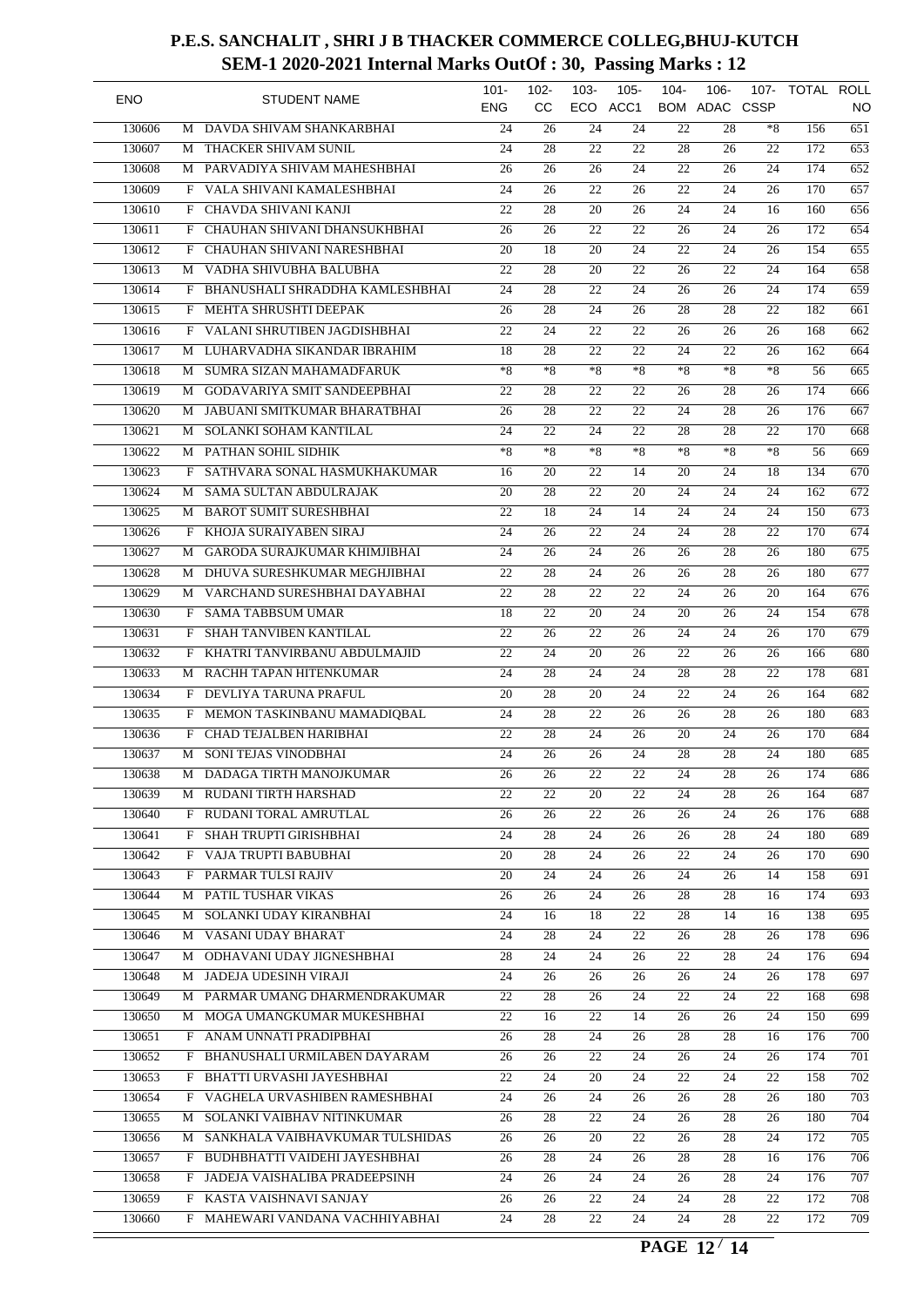| <b>ENO</b> |   | <b>STUDENT NAME</b>                 | $101 -$<br><b>ENG</b> | $102 -$<br><b>CC</b> | $103 -$<br>ECO  | $105 -$<br>ACC1 | $104 -$         | $106 -$<br>BOM ADAC CSSP | $107 -$         | TOTAL ROLL | <b>NO</b>        |
|------------|---|-------------------------------------|-----------------------|----------------------|-----------------|-----------------|-----------------|--------------------------|-----------------|------------|------------------|
| 130606     | M | DAVDA SHIVAM SHANKARBHAI            | 24                    | 26                   | 24              | $\overline{24}$ | 22              | 28                       | $*8$            | 156        | 651              |
| 130607     | M | THACKER SHIVAM SUNIL                | 24                    | 28                   | 22              | 22              | 28              | 26                       | 22              | 172        | 653              |
| 130608     | М | PARVADIYA SHIVAM MAHESHBHAI         | 26                    | 26                   | 26              | 24              | 22              | 26                       | 24              | 174        | 652              |
| 130609     | F | VALA SHIVANI KAMALESHBHAI           | 24                    | 26                   | $\overline{22}$ | $\overline{26}$ | 22              | 24                       | 26              | 170        | 657              |
| 130610     | F | CHAVDA SHIVANI KANJI                | 22                    | $\overline{28}$      | 20              | 26              | 24              | 24                       | 16              | 160        | 656              |
| 130611     | F | CHAUHAN SHIVANI DHANSUKHBHAI        | 26                    | 26                   | $\overline{22}$ | $\overline{22}$ | 26              | 24                       | 26              | 172        | 654              |
| 130612     | F | CHAUHAN SHIVANI NARESHBHAI          | 20                    | 18                   | $\overline{20}$ | $\overline{24}$ | 22              | 24                       | 26              | 154        | 655              |
| 130613     | М | VADHA SHIVUBHA BALUBHA              | 22                    | $\overline{28}$      | $\overline{20}$ | 22              | $\overline{26}$ | 22                       | 24              | 164        | 658              |
| 130614     | F | BHANUSHALI SHRADDHA KAMLESHBHAI     | 24                    | $\overline{28}$      | $\overline{22}$ | $\overline{24}$ | 26              | 26                       | 24              | 174        | 659              |
| 130615     | F | MEHTA SHRUSHTI DEEPAK               | 26                    | 28                   | $\overline{24}$ | $\overline{26}$ | 28              | 28                       | $\overline{22}$ | 182        | 661              |
| 130616     | F | VALANI SHRUTIBEN JAGDISHBHAI        | 22                    | 24                   | 22              | 22              | 26              | 26                       | 26              | 168        | $\overline{662}$ |
| 130617     | M | LUHARVADHA SIKANDAR IBRAHIM         | 18                    | $\overline{28}$      | 22              | 22              | 24              | 22                       | 26              | 162        | 664              |
| 130618     | M | SUMRA SIZAN MAHAMADFARUK            | $*8$                  | $*8$                 | $*8$            | $*8$            | $*8$            | $*8$                     | $*8$            | 56         | 665              |
| 130619     | М | <b>GODAVARIYA SMIT SANDEEPBHAI</b>  | 22                    | 28                   | 22              | 22              | 26              | 28                       | 26              | 174        | 666              |
| 130620     | М | JABUANI SMITKUMAR BHARATBHAI        | 26                    | $\overline{28}$      | 22              | $\overline{22}$ | 24              | 28                       | 26              | 176        | 667              |
| 130621     | М | SOLANKI SOHAM KANTILAL              | 24                    | 22                   | 24              | 22              | 28              | 28                       | 22              | 170        | 668              |
| 130622     | М | PATHAN SOHIL SIDHIK                 | $*_{8}$               | $*_{8}$              | $*8$            | $*8$            | $*8$            | $*8$                     | $*_{8}$         | 56         | 669              |
| 130623     | F | SATHVARA SONAL HASMUKHAKUMAR        | 16                    | 20                   | 22              | 14              | $\overline{20}$ | 24                       | 18              | 134        | $\overline{670}$ |
| 130624     | М | SAMA SULTAN ABDULRAJAK              | 20                    | 28                   | 22              | 20              | 24              | 24                       | 24              | 162        | 672              |
| 130625     | М | <b>BAROT SUMIT SURESHBHAI</b>       | 22                    | $\overline{18}$      | 24              | 14              | 24              | 24                       | 24              | 150        | $\overline{673}$ |
| 130626     |   | KHOJA SURAIYABEN SIRAJ              | 24                    |                      | $\overline{22}$ | $\overline{24}$ | 24              | 28                       | 22              | 170        | $\overline{674}$ |
|            | F |                                     |                       | 26                   |                 |                 |                 |                          |                 |            | 675              |
| 130627     | М | <b>GARODA SURAJKUMAR KHIMJIBHAI</b> | 24                    | 26                   | 24              | 26              | 26              | 28                       | 26              | 180        | $\overline{677}$ |
| 130628     | M | DHUVA SURESHKUMAR MEGHJIBHAI        | 22                    | 28                   | 24              | $\overline{26}$ | $\overline{26}$ | 28                       | 26              | 180        |                  |
| 130629     | M | VARCHAND SURESHBHAI DAYABHAI        | 22                    | $\overline{28}$      | 22              | 22              | 24              | 26                       | 20              | 164        | $\overline{676}$ |
| 130630     | F | <b>SAMA TABBSUM UMAR</b>            | 18                    | 22                   | 20              | 24              | 20              | 26                       | 24              | 154        | 678              |
| 130631     | F | <b>SHAH TANVIBEN KANTILAL</b>       | $\overline{22}$       | 26                   | 22              | 26              | 24              | 24                       | 26              | 170        | $\overline{679}$ |
| 130632     | F | KHATRI TANVIRBANU ABDULMAJID        | $\overline{22}$       | $\overline{24}$      | 20              | 26              | $\overline{22}$ | 26                       | 26              | 166        | 680              |
| 130633     | М | RACHH TAPAN HITENKUMAR              | 24                    | 28                   | 24              | 24              | 28              | 28                       | 22              | 178        | 681              |
| 130634     | F | DEVLIYA TARUNA PRAFUL               | 20                    | $\overline{28}$      | 20              | 24              | 22              | 24                       | 26              | 164        | 682              |
| 130635     | F | MEMON TASKINBANU MAMADIQBAL         | 24                    | $\overline{28}$      | $\overline{22}$ | $\overline{26}$ | 26              | 28                       | 26              | 180        | 683              |
| 130636     | F | CHAD TEJALBEN HARIBHAI              | 22                    | 28                   | 24              | 26              | 20              | 24                       | 26              | 170        | 684              |
| 130637     | М | SONI TEJAS VINODBHAI                | 24                    | 26                   | 26              | 24              | 28              | 28                       | 24              | 180        | 685              |
| 130638     |   | M DADAGA TIRTH MANOJKUMAR           | $\overline{26}$       | $\overline{26}$      | $\overline{22}$ | $\overline{22}$ | $\overline{24}$ | $\overline{28}$          | $\overline{26}$ | 174        | 686              |
| 130639     |   | M RUDANI TIRTH HARSHAD              | 22                    | 22                   | 20              | 22              | 24              | 28                       | 26              | 164        | 687              |
| 130640     | F | RUDANI TORAL AMRUTLAL               | 26                    | 26                   | 22              | 26              | 26              | 24                       | 26              | 176        | 688              |
| 130641     | F | SHAH TRUPTI GIRISHBHAI              | 24                    | 28                   | 24              | 26              | 26              | 28                       | 24              | 180        | 689              |
| 130642     |   | F VAJA TRUPTI BABUBHAI              | 20                    | 28                   | 24              | 26              | 22              | 24                       | 26              | 170        | 690              |
| 130643     | F | PARMAR TULSI RAJIV                  | $\overline{20}$       | 24                   | 24              | 26              | 24              | 26                       | 14              | 158        | 691              |
| 130644     | М | PATIL TUSHAR VIKAS                  | 26                    | 26                   | 24              | 26              | 28              | 28                       | 16              | 174        | 693              |
| 130645     | М | SOLANKI UDAY KIRANBHAI              | 24                    | 16                   | 18              | 22              | 28              | 14                       | 16              | 138        | 695              |
| 130646     | M | VASANI UDAY BHARAT                  | 24                    | 28                   | 24              | 22              | 26              | 28                       | 26              | 178        | 696              |
| 130647     |   | M ODHAVANI UDAY JIGNESHBHAI         | 28                    | 24                   | 24              | 26              | 22              | 28                       | 24              | 176        | 694              |
| 130648     |   | M JADEJA UDESINH VIRAJI             | 24                    | 26                   | 26              | 26              | 26              | 24                       | 26              | 178        | 697              |
| 130649     | M | PARMAR UMANG DHARMENDRAKUMAR        | 22                    | 28                   | 26              | 24              | 22              | 24                       | 22              | 168        | 698              |
| 130650     |   | M MOGA UMANGKUMAR MUKESHBHAI        | 22                    | 16                   | 22              | 14              | 26              | 26                       | 24              | 150        | 699              |
| 130651     |   | F ANAM UNNATI PRADIPBHAI            | 26                    | 28                   | 24              | 26              | 28              | 28                       | 16              | 176        | 700              |
| 130652     |   | F BHANUSHALI URMILABEN DAYARAM      | 26                    | 26                   | 22              | 24              | 26              | 24                       | 26              | 174        | 701              |
| 130653     | F | BHATTI URVASHI JAYESHBHAI           | 22                    | 24                   | 20              | 24              | 22              | 24                       | 22              | 158        | $\overline{702}$ |
| 130654     |   | F VAGHELA URVASHIBEN RAMESHBHAI     | 24                    | 26                   | 24              | 26              | 26              | 28                       | 26              | 180        | $\overline{703}$ |
| 130655     | М | SOLANKI VAIBHAV NITINKUMAR          | 26                    | 28                   | 22              | 24              | 26              | 28                       | 26              | 180        | 704              |
|            |   |                                     |                       |                      |                 |                 |                 |                          |                 |            |                  |
| 130656     | M | SANKHALA VAIBHAVKUMAR TULSHIDAS     | 26                    | 26                   | 20              | 22              | 26              | 28                       | 24              | 172        | 705              |
| 130657     |   | F BUDHBHATTI VAIDEHI JAYESHBHAI     | 26                    | 28                   | 24              | 26              | 28              | 28                       | 16              | 176        | 706              |
| 130658     |   | F JADEJA VAISHALIBA PRADEEPSINH     | 24                    | 26                   | 24              | 24              | 26              | 28                       | 24              | 176        | 707              |
| 130659     | F | KASTA VAISHNAVI SANJAY              | 26                    | 26                   | 22              | 24              | 24              | 28                       | 22              | 172        | 708              |
| 130660     |   | F MAHEWARI VANDANA VACHHIYABHAI     | 24                    | 28                   | 22              | 24              | 24              | 28                       | 22              | 172        | 709              |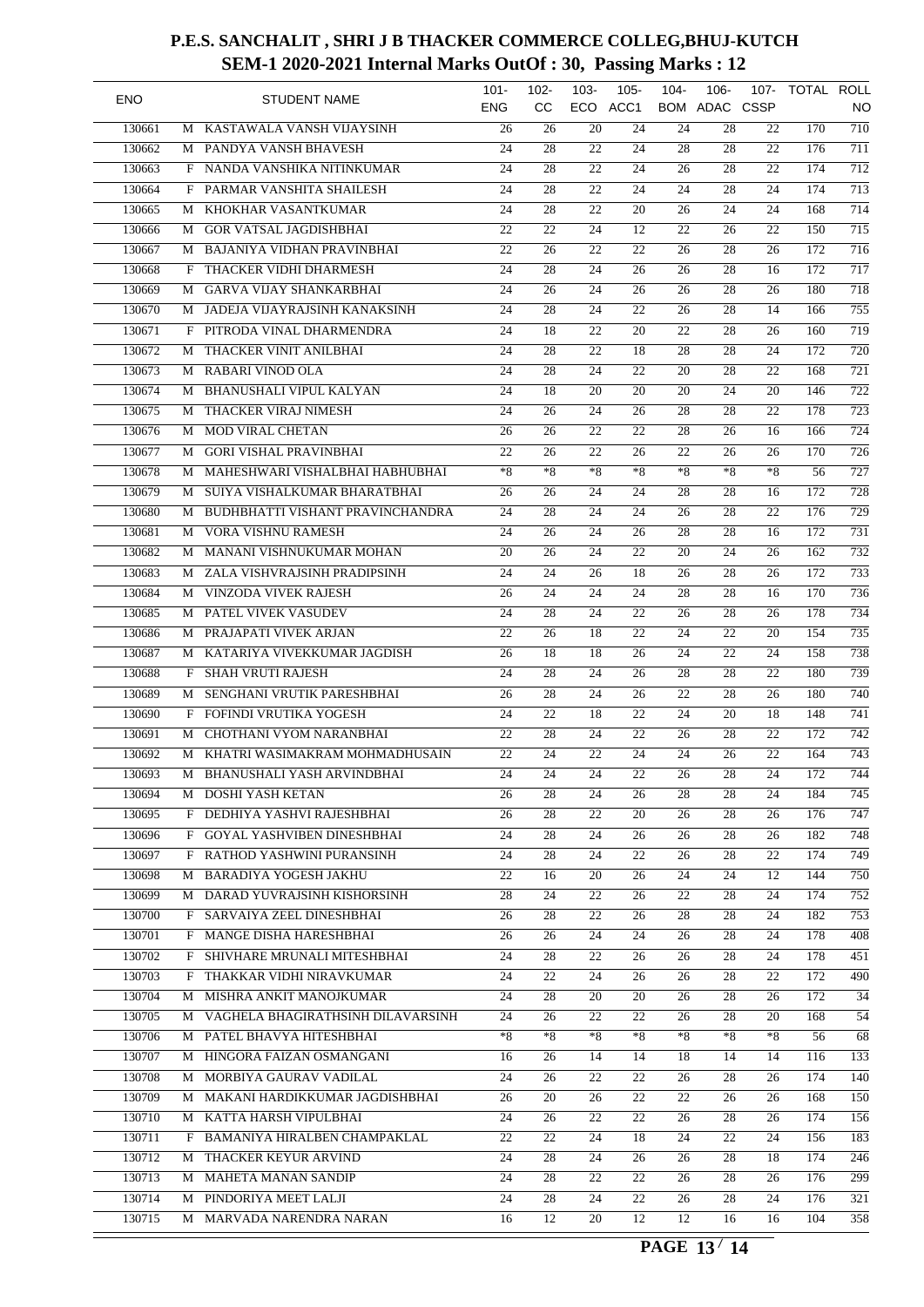| <b>ENO</b> |   | <b>STUDENT NAME</b>               | $101 -$         | $102 -$         | $103 -$         | $105 -$         | $104 -$         | $106 -$         | 107-            | TOTAL ROLL |                  |
|------------|---|-----------------------------------|-----------------|-----------------|-----------------|-----------------|-----------------|-----------------|-----------------|------------|------------------|
|            |   |                                   | <b>ENG</b>      | <b>CC</b>       |                 | ECO ACC1        |                 | BOM ADAC CSSP   |                 |            | NO               |
| 130661     | M | KASTAWALA VANSH VIJAYSINH         | 26              | 26              | 20              | 24              | 24              | 28              | 22              | 170        | $\overline{710}$ |
| 130662     |   | M PANDYA VANSH BHAVESH            | 24              | 28              | 22              | 24              | $\overline{28}$ | 28              | 22              | 176        | $\overline{711}$ |
| 130663     | F | NANDA VANSHIKA NITINKUMAR         | 24              | 28              | 22              | 24              | 26              | 28              | 22              | 174        | $\overline{712}$ |
| 130664     | F | PARMAR VANSHITA SHAILESH          | 24              | 28              | 22              | 24              | 24              | 28              | 24              | 174        | 713              |
| 130665     | М | KHOKHAR VASANTKUMAR               | 24              | 28              | 22              | 20              | 26              | 24              | 24              | 168        | $\overline{714}$ |
| 130666     | М | <b>GOR VATSAL JAGDISHBHAI</b>     | 22              | 22              | 24              | 12              | 22              | 26              | 22              | 150        | $\overline{715}$ |
| 130667     | М | BAJANIYA VIDHAN PRAVINBHAI        | $\overline{22}$ | 26              | 22              | 22              | 26              | 28              | 26              | 172        | 716              |
| 130668     | F | THACKER VIDHI DHARMESH            | 24              | $\overline{28}$ | $\overline{24}$ | 26              | 26              | 28              | 16              | 172        | $\overline{717}$ |
| 130669     | М | <b>GARVA VIJAY SHANKARBHAI</b>    | 24              | 26              | 24              | 26              | 26              | 28              | 26              | 180        | $\overline{718}$ |
| 130670     | М | JADEJA VIJAYRAJSINH KANAKSINH     | 24              | 28              | 24              | 22              | 26              | 28              | 14              | 166        | 755              |
| 130671     | F | PITRODA VINAL DHARMENDRA          | 24              | 18              | 22              | $\overline{20}$ | 22              | 28              | 26              | 160        | $\overline{719}$ |
| 130672     | М | THACKER VINIT ANILBHAI            | 24              | 28              | 22              | 18              | 28              | 28              | 24              | 172        | $\overline{720}$ |
| 130673     |   | M RABARI VINOD OLA                | 24              | 28              | 24              | 22              | 20              | 28              | 22              | 168        | $\overline{721}$ |
| 130674     | М | <b>BHANUSHALI VIPUL KALYAN</b>    | 24              | 18              | 20              | 20              | $\overline{20}$ | 24              | 20              | 146        | $\overline{722}$ |
| 130675     | М | THACKER VIRAJ NIMESH              | 24              | 26              | 24              | 26              | 28              | 28              | 22              | 178        | $\overline{723}$ |
| 130676     | М | MOD VIRAL CHETAN                  | 26              | 26              | 22              | 22              | 28              | 26              | 16              | 166        | 724              |
| 130677     | М | <b>GORI VISHAL PRAVINBHAI</b>     | 22              | 26              | 22              | 26              | 22              | 26              | 26              | 170        | $\overline{726}$ |
| 130678     | М | MAHESHWARI VISHALBHAI HABHUBHAI   | $*8$            | $*8$            | $*8$            | $*8$            | $*8$            | $*8$            | $*8$            | 56         | $\overline{727}$ |
| 130679     | М | SUIYA VISHALKUMAR BHARATBHAI      | 26              | 26              | 24              | 24              | 28              | 28              | 16              | 172        | $\overline{728}$ |
| 130680     | М | BUDHBHATTI VISHANT PRAVINCHANDRA  | 24              | 28              | 24              | $\overline{24}$ | 26              | 28              | 22              | 176        | $\overline{729}$ |
| 130681     | М | <b>VORA VISHNU RAMESH</b>         | 24              | 26              | 24              | 26              | 28              | 28              | 16              | 172        | 731              |
| 130682     | М | MANANI VISHNUKUMAR MOHAN          | 20              | 26              | 24              | 22              | 20              | 24              | 26              | 162        | $\overline{732}$ |
| 130683     | М | ZALA VISHVRAJSINH PRADIPSINH      | 24              | 24              | 26              | $\overline{18}$ | 26              | 28              | 26              | 172        | 733              |
| 130684     | M | VINZODA VIVEK RAJESH              | 26              | 24              | 24              | 24              | 28              | 28              | 16              | 170        | 736              |
| 130685     |   | M PATEL VIVEK VASUDEV             | 24              | 28              | 24              | 22              | 26              | 28              | 26              | 178        | 734              |
| 130686     | М | PRAJAPATI VIVEK ARJAN             | 22              | 26              | 18              | $\overline{22}$ | 24              | 22              | 20              | 154        | $\overline{735}$ |
| 130687     | М | KATARIYA VIVEKKUMAR JAGDISH       | 26              | 18              | 18              | 26              | 24              | 22              | 24              | 158        | 738              |
| 130688     | F | <b>SHAH VRUTI RAJESH</b>          | 24              | 28              | 24              | 26              | 28              | 28              | 22              | 180        | 739              |
| 130689     | М | SENGHANI VRUTIK PARESHBHAI        | 26              | 28              | 24              | 26              | 22              | 28              | 26              | 180        | 740              |
|            |   | FOFINDI VRUTIKA YOGESH            |                 |                 |                 |                 |                 |                 |                 |            | $\overline{741}$ |
| 130690     | F |                                   | 24              | 22              | 18              | 22              | 24              | 20              | 18              | 148        |                  |
| 130691     | M | CHOTHANI VYOM NARANBHAI           | 22              | 28              | 24              | 22              | 26              | 28              | 22              | 172        | $\overline{742}$ |
| 130692     | М | KHATRI WASIMAKRAM MOHMADHUSAIN    | $\overline{22}$ | 24              | $\overline{22}$ | 24              | 24              | $\overline{26}$ | 22              | 164        | 743              |
| 130693     | М | BHANUSHALI YASH ARVINDBHAI        | $\overline{24}$ | $\overline{24}$ | $\overline{24}$ | $\overline{22}$ | 26              | $\overline{28}$ | $\overline{24}$ | 172        | 744              |
| 130694     |   | M DOSHI YASH KETAN                | 26              | 28              | 24              | 26              | 28              | 28              | 24              | 184        | 745              |
| 130695     |   | F DEDHIYA YASHVI RAJESHBHAI       | 26              | 28              | 22              | 20              | 26              | 28              | 26              | 176        | 747              |
| 130696     |   | F GOYAL YASHVIBEN DINESHBHAI      | 24              | 28              | 24              | 26              | 26              | 28              | 26              | 182        | 748              |
| 130697     |   | F RATHOD YASHWINI PURANSINH       | 24              | 28              | 24              | 22              | 26              | 28              | 22              | 174        | 749              |
| 130698     | М | <b>BARADIYA YOGESH JAKHU</b>      | 22              | 16              | 20              | 26              | $\overline{24}$ | 24              | 12              | 144        | $\overline{750}$ |
| 130699     | M | DARAD YUVRAJSINH KISHORSINH       | $\overline{28}$ | 24              | 22              | 26              | 22              | 28              | 24              | 174        | $\overline{752}$ |
| 130700     |   | F SARVAIYA ZEEL DINESHBHAI        | 26              | 28              | 22              | 26              | 28              | 28              | 24              | 182        | 753              |
| 130701     | F | MANGE DISHA HARESHBHAI            | 26              | 26              | 24              | 24              | 26              | 28              | 24              | 178        | 408              |
| 130702     | F | SHIVHARE MRUNALI MITESHBHAI       | 24              | 28              | 22              | 26              | 26              | 28              | 24              | 178        | 451              |
| 130703     |   | F THAKKAR VIDHI NIRAVKUMAR        | 24              | 22              | 24              | 26              | 26              | 28              | 22              | 172        | 490              |
| 130704     | М | MISHRA ANKIT MANOJKUMAR           | 24              | 28              | 20              | 20              | 26              | 28              | 26              | 172        | 34               |
| 130705     | M | VAGHELA BHAGIRATHSINH DILAVARSINH | 24              | 26              | 22              | 22              | 26              | 28              | 20              | 168        | 54               |
| 130706     |   | M PATEL BHAVYA HITESHBHAI         | $*8$            | $*8$            | *8              | $*8$            | $*8$            | $*8$            | $*8$            | 56         | 68               |
| 130707     | M | HINGORA FAIZAN OSMANGANI          | 16              | 26              | 14              | 14              | 18              | 14              | 14              | 116        | 133              |
| 130708     | M | MORBIYA GAURAV VADILAL            | 24              | 26              | 22              | 22              | 26              | 28              | 26              | 174        | $\overline{140}$ |
| 130709     |   | M MAKANI HARDIKKUMAR JAGDISHBHAI  | 26              | 20              | 26              | 22              | 22              | 26              | 26              | 168        | 150              |
| 130710     | M | KATTA HARSH VIPULBHAI             | 24              | 26              | 22              | 22              | 26              | 28              | 26              | 174        | 156              |
| 130711     | F | BAMANIYA HIRALBEN CHAMPAKLAL      | 22              | 22              | 24              | 18              | 24              | 22              | 24              | 156        | $\overline{183}$ |
| 130712     |   | M THACKER KEYUR ARVIND            | 24              | 28              | 24              | 26              | 26              | 28              | 18              | 174        | 246              |
| 130713     | M | <b>MAHETA MANAN SANDIP</b>        | 24              | 28              | 22              | 22              | 26              | 28              | 26              | 176        | 299              |
| 130714     |   | M PINDORIYA MEET LALJI            | 24              | 28              | 24              | 22              | 26              | 28              | 24              | 176        | 321              |
| 130715     |   | M MARVADA NARENDRA NARAN          | 16              | 12              | 20              | 12              | 12              | 16              | 16              | 104        | 358              |
|            |   |                                   |                 |                 |                 |                 |                 |                 |                 |            |                  |